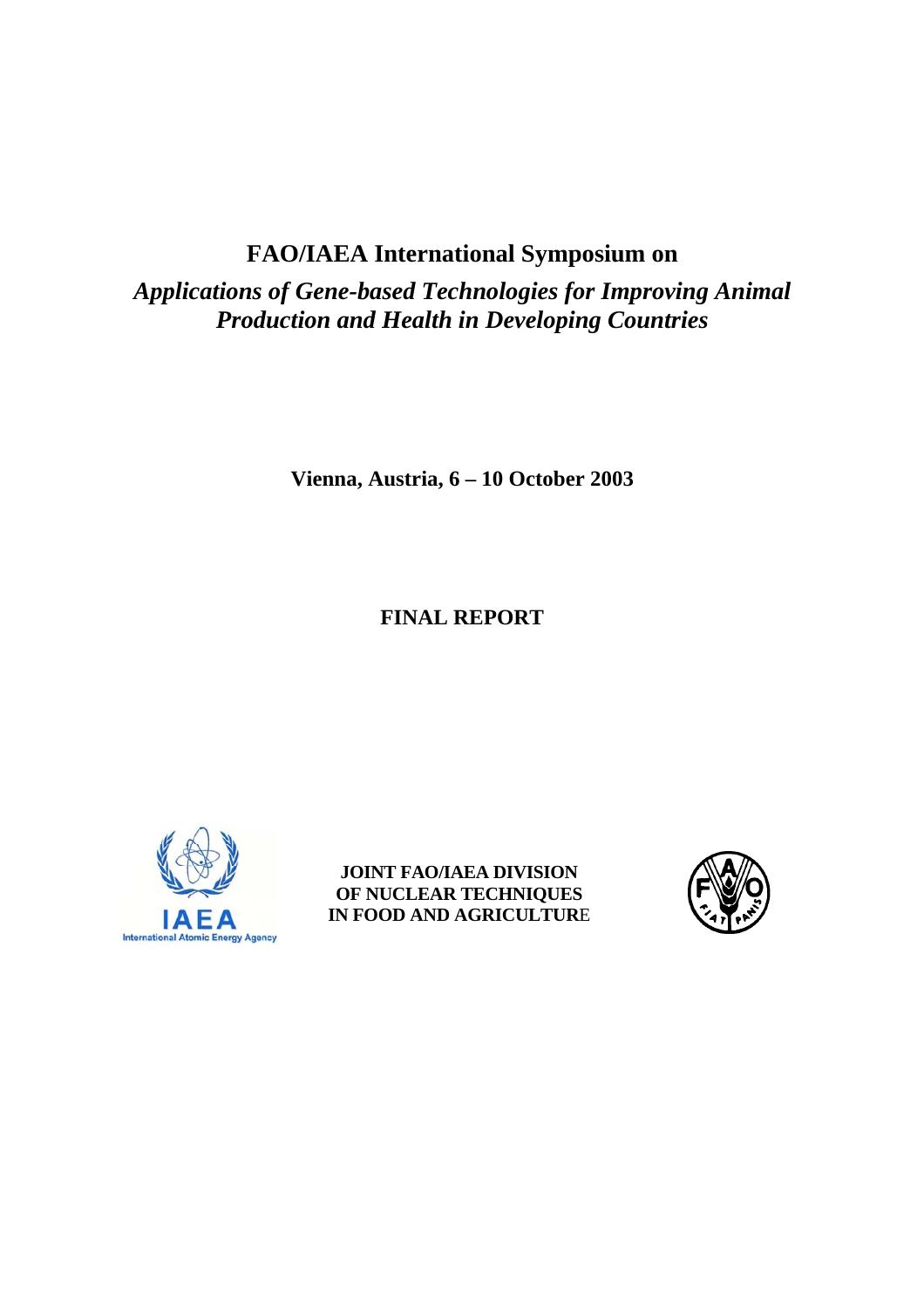# **FAO/IAEA International Symposium on**

*Applications of Gene-based Technologies for Improving Animal Production and Health in Developing Countries* 

**Vienna, Austria, 6 – 10 October 2003** 

**FINAL REPORT** 



**JOINT FAO/IAEA DIVISION OF NUCLEAR TECHNIQUES IN FOOD AND AGRICULTUR**E

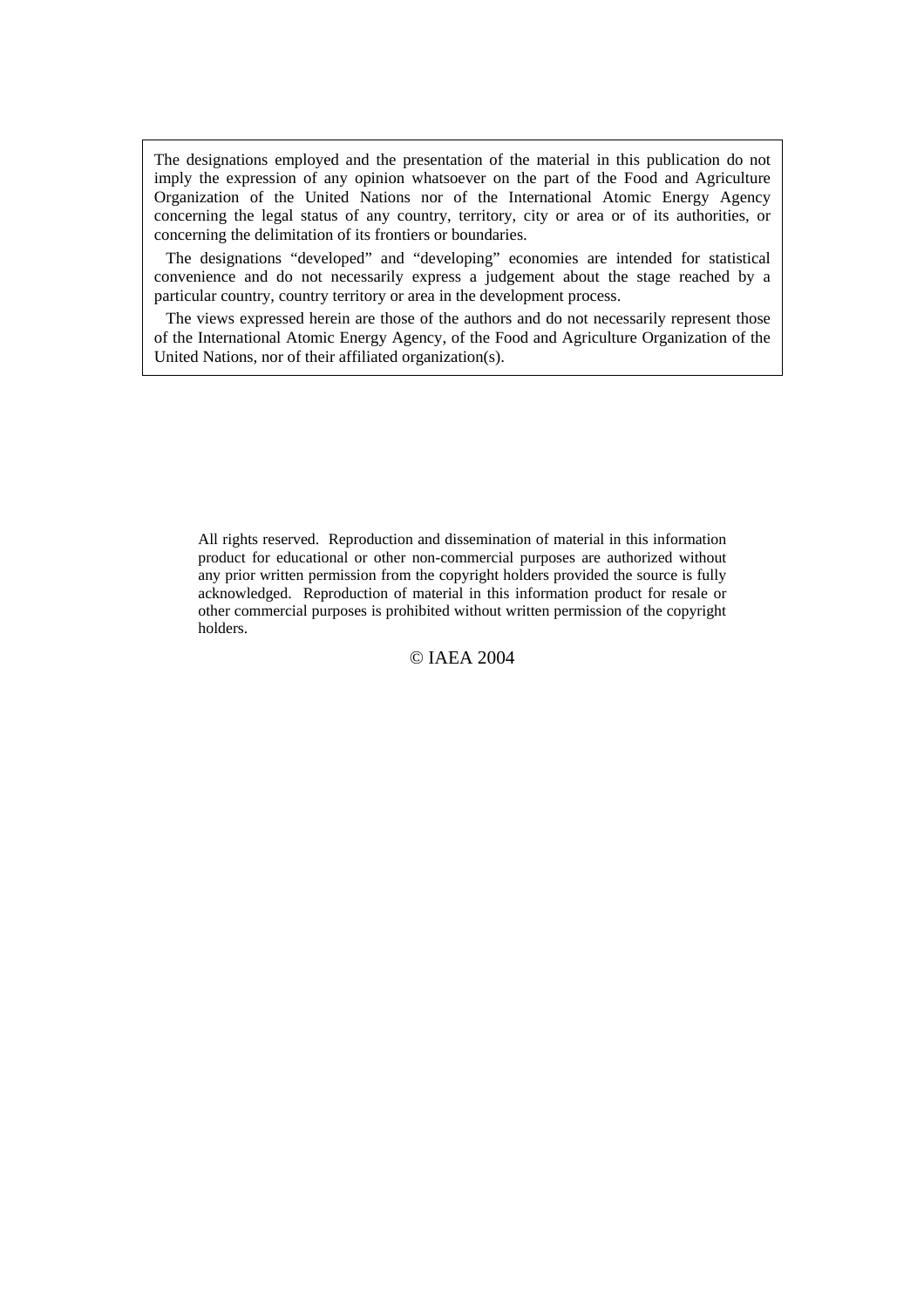The designations employed and the presentation of the material in this publication do not imply the expression of any opinion whatsoever on the part of the Food and Agriculture Organization of the United Nations nor of the International Atomic Energy Agency concerning the legal status of any country, territory, city or area or of its authorities, or concerning the delimitation of its frontiers or boundaries.

 The designations "developed" and "developing" economies are intended for statistical convenience and do not necessarily express a judgement about the stage reached by a particular country, country territory or area in the development process.

 The views expressed herein are those of the authors and do not necessarily represent those of the International Atomic Energy Agency, of the Food and Agriculture Organization of the United Nations, nor of their affiliated organization(s).

All rights reserved. Reproduction and dissemination of material in this information product for educational or other non-commercial purposes are authorized without any prior written permission from the copyright holders provided the source is fully acknowledged. Reproduction of material in this information product for resale or other commercial purposes is prohibited without written permission of the copyright holders.

#### © IAEA 2004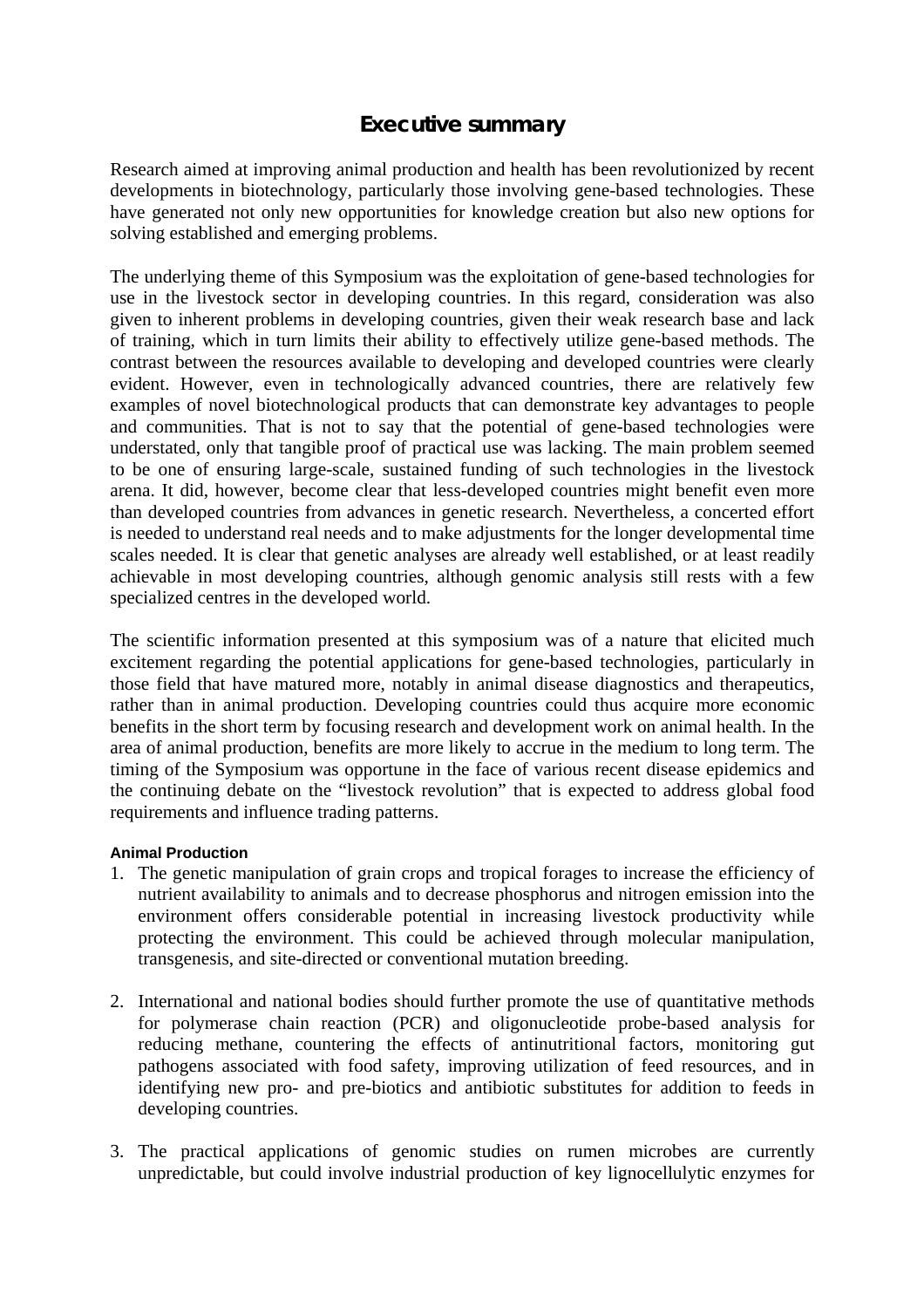# **Executive summary**

Research aimed at improving animal production and health has been revolutionized by recent developments in biotechnology, particularly those involving gene-based technologies. These have generated not only new opportunities for knowledge creation but also new options for solving established and emerging problems.

The underlying theme of this Symposium was the exploitation of gene-based technologies for use in the livestock sector in developing countries. In this regard, consideration was also given to inherent problems in developing countries, given their weak research base and lack of training, which in turn limits their ability to effectively utilize gene-based methods. The contrast between the resources available to developing and developed countries were clearly evident. However, even in technologically advanced countries, there are relatively few examples of novel biotechnological products that can demonstrate key advantages to people and communities. That is not to say that the potential of gene-based technologies were understated, only that tangible proof of practical use was lacking. The main problem seemed to be one of ensuring large-scale, sustained funding of such technologies in the livestock arena. It did, however, become clear that less-developed countries might benefit even more than developed countries from advances in genetic research. Nevertheless, a concerted effort is needed to understand real needs and to make adjustments for the longer developmental time scales needed. It is clear that genetic analyses are already well established, or at least readily achievable in most developing countries, although genomic analysis still rests with a few specialized centres in the developed world.

The scientific information presented at this symposium was of a nature that elicited much excitement regarding the potential applications for gene-based technologies, particularly in those field that have matured more, notably in animal disease diagnostics and therapeutics, rather than in animal production. Developing countries could thus acquire more economic benefits in the short term by focusing research and development work on animal health. In the area of animal production, benefits are more likely to accrue in the medium to long term. The timing of the Symposium was opportune in the face of various recent disease epidemics and the continuing debate on the "livestock revolution" that is expected to address global food requirements and influence trading patterns.

### **Animal Production**

- 1. The genetic manipulation of grain crops and tropical forages to increase the efficiency of nutrient availability to animals and to decrease phosphorus and nitrogen emission into the environment offers considerable potential in increasing livestock productivity while protecting the environment. This could be achieved through molecular manipulation, transgenesis, and site-directed or conventional mutation breeding.
- 2. International and national bodies should further promote the use of quantitative methods for polymerase chain reaction (PCR) and oligonucleotide probe-based analysis for reducing methane, countering the effects of antinutritional factors, monitoring gut pathogens associated with food safety, improving utilization of feed resources, and in identifying new pro- and pre-biotics and antibiotic substitutes for addition to feeds in developing countries.
- 3. The practical applications of genomic studies on rumen microbes are currently unpredictable, but could involve industrial production of key lignocellulytic enzymes for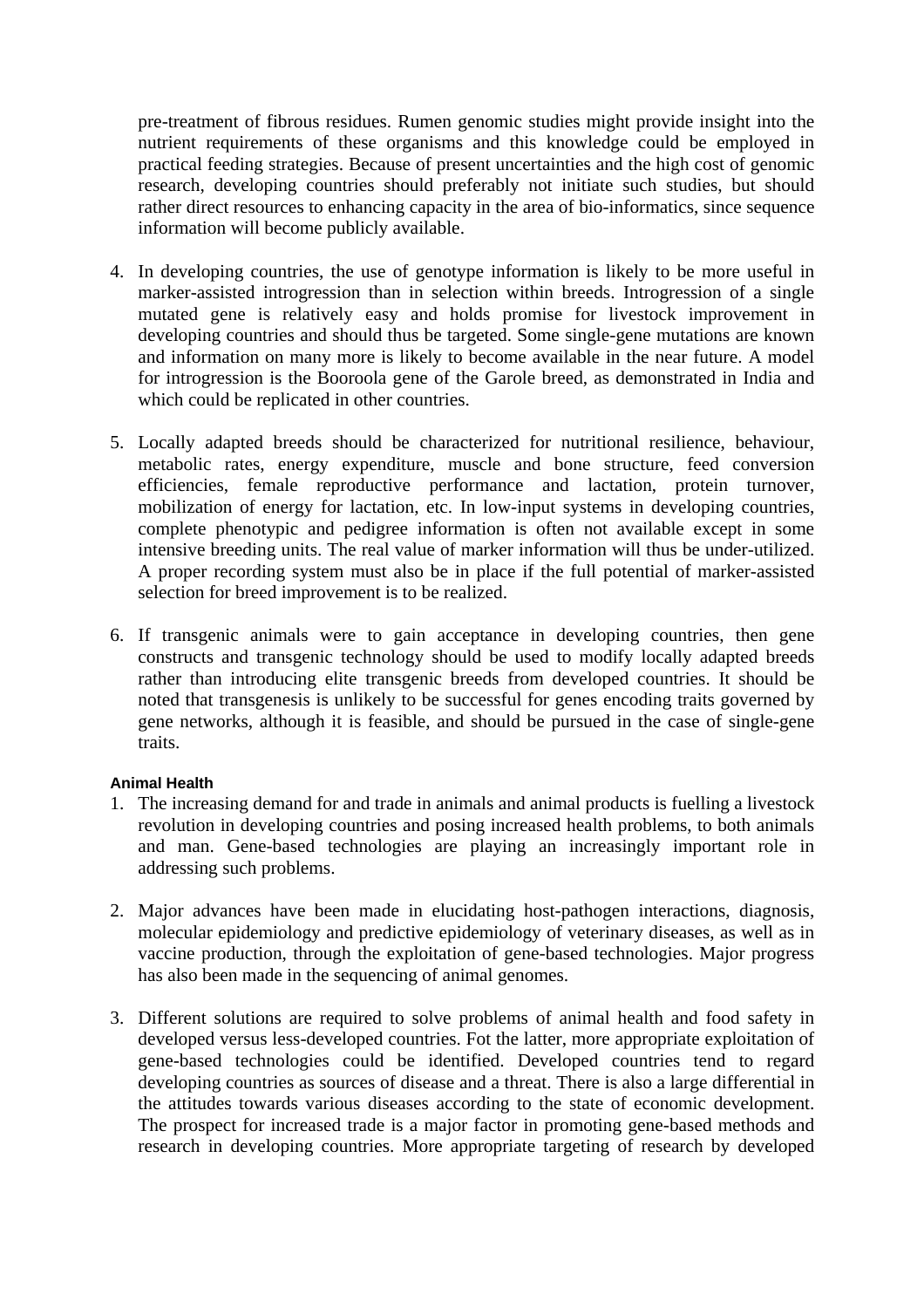pre-treatment of fibrous residues. Rumen genomic studies might provide insight into the nutrient requirements of these organisms and this knowledge could be employed in practical feeding strategies. Because of present uncertainties and the high cost of genomic research, developing countries should preferably not initiate such studies, but should rather direct resources to enhancing capacity in the area of bio-informatics, since sequence information will become publicly available.

- 4. In developing countries, the use of genotype information is likely to be more useful in marker-assisted introgression than in selection within breeds. Introgression of a single mutated gene is relatively easy and holds promise for livestock improvement in developing countries and should thus be targeted. Some single-gene mutations are known and information on many more is likely to become available in the near future. A model for introgression is the Booroola gene of the Garole breed, as demonstrated in India and which could be replicated in other countries.
- 5. Locally adapted breeds should be characterized for nutritional resilience, behaviour, metabolic rates, energy expenditure, muscle and bone structure, feed conversion efficiencies, female reproductive performance and lactation, protein turnover, mobilization of energy for lactation, etc. In low-input systems in developing countries, complete phenotypic and pedigree information is often not available except in some intensive breeding units. The real value of marker information will thus be under-utilized. A proper recording system must also be in place if the full potential of marker-assisted selection for breed improvement is to be realized.
- 6. If transgenic animals were to gain acceptance in developing countries, then gene constructs and transgenic technology should be used to modify locally adapted breeds rather than introducing elite transgenic breeds from developed countries. It should be noted that transgenesis is unlikely to be successful for genes encoding traits governed by gene networks, although it is feasible, and should be pursued in the case of single-gene traits.

### **Animal Health**

- 1. The increasing demand for and trade in animals and animal products is fuelling a livestock revolution in developing countries and posing increased health problems, to both animals and man. Gene-based technologies are playing an increasingly important role in addressing such problems.
- 2. Major advances have been made in elucidating host-pathogen interactions, diagnosis, molecular epidemiology and predictive epidemiology of veterinary diseases, as well as in vaccine production, through the exploitation of gene-based technologies. Major progress has also been made in the sequencing of animal genomes.
- 3. Different solutions are required to solve problems of animal health and food safety in developed versus less-developed countries. Fot the latter, more appropriate exploitation of gene-based technologies could be identified. Developed countries tend to regard developing countries as sources of disease and a threat. There is also a large differential in the attitudes towards various diseases according to the state of economic development. The prospect for increased trade is a major factor in promoting gene-based methods and research in developing countries. More appropriate targeting of research by developed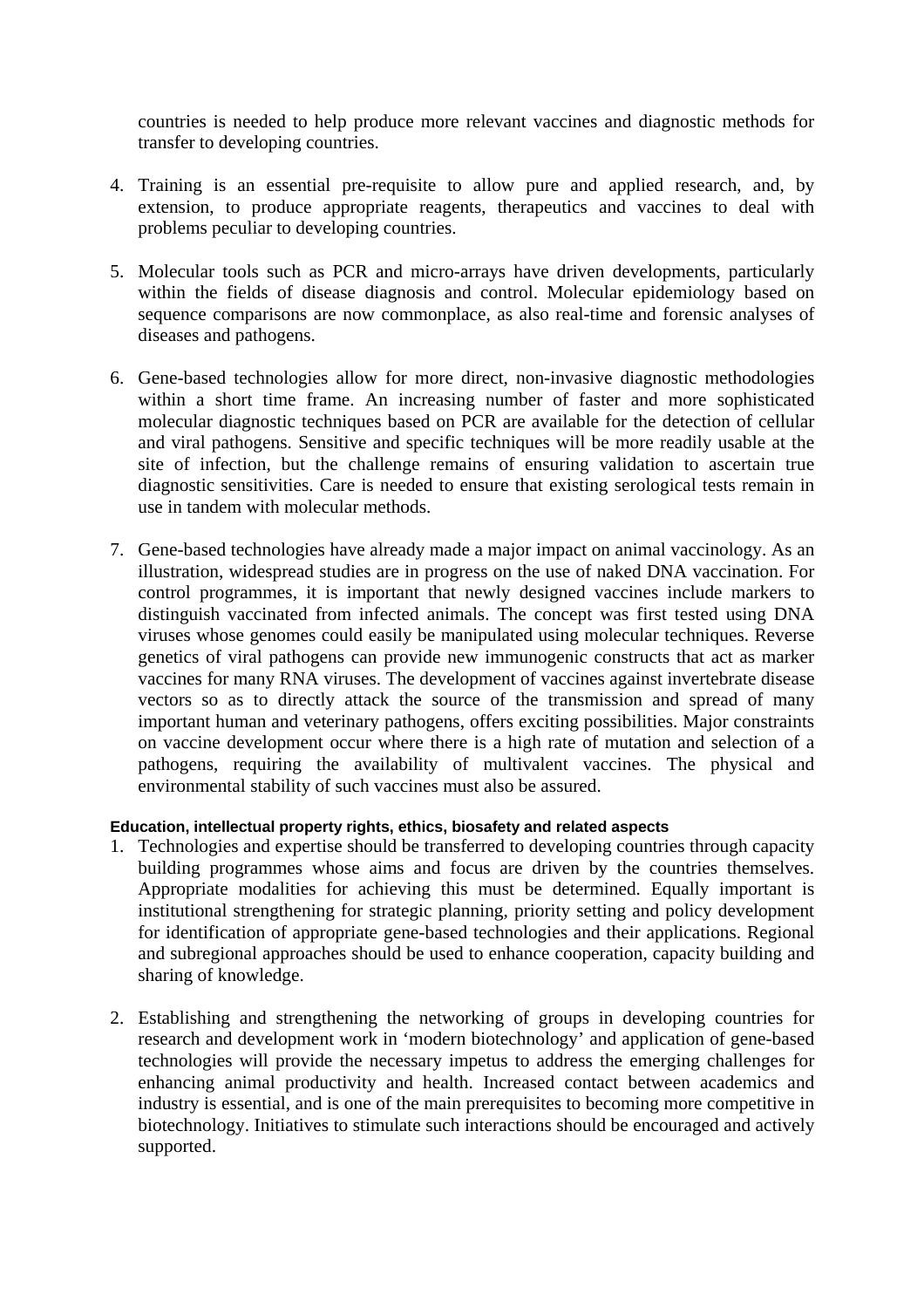countries is needed to help produce more relevant vaccines and diagnostic methods for transfer to developing countries.

- 4. Training is an essential pre-requisite to allow pure and applied research, and, by extension, to produce appropriate reagents, therapeutics and vaccines to deal with problems peculiar to developing countries.
- 5. Molecular tools such as PCR and micro-arrays have driven developments, particularly within the fields of disease diagnosis and control. Molecular epidemiology based on sequence comparisons are now commonplace, as also real-time and forensic analyses of diseases and pathogens.
- 6. Gene-based technologies allow for more direct, non-invasive diagnostic methodologies within a short time frame. An increasing number of faster and more sophisticated molecular diagnostic techniques based on PCR are available for the detection of cellular and viral pathogens. Sensitive and specific techniques will be more readily usable at the site of infection, but the challenge remains of ensuring validation to ascertain true diagnostic sensitivities. Care is needed to ensure that existing serological tests remain in use in tandem with molecular methods.
- 7. Gene-based technologies have already made a major impact on animal vaccinology. As an illustration, widespread studies are in progress on the use of naked DNA vaccination. For control programmes, it is important that newly designed vaccines include markers to distinguish vaccinated from infected animals. The concept was first tested using DNA viruses whose genomes could easily be manipulated using molecular techniques. Reverse genetics of viral pathogens can provide new immunogenic constructs that act as marker vaccines for many RNA viruses. The development of vaccines against invertebrate disease vectors so as to directly attack the source of the transmission and spread of many important human and veterinary pathogens, offers exciting possibilities. Major constraints on vaccine development occur where there is a high rate of mutation and selection of a pathogens, requiring the availability of multivalent vaccines. The physical and environmental stability of such vaccines must also be assured.

### **Education, intellectual property rights, ethics, biosafety and related aspects**

- 1. Technologies and expertise should be transferred to developing countries through capacity building programmes whose aims and focus are driven by the countries themselves. Appropriate modalities for achieving this must be determined. Equally important is institutional strengthening for strategic planning, priority setting and policy development for identification of appropriate gene-based technologies and their applications. Regional and subregional approaches should be used to enhance cooperation, capacity building and sharing of knowledge.
- 2. Establishing and strengthening the networking of groups in developing countries for research and development work in 'modern biotechnology' and application of gene-based technologies will provide the necessary impetus to address the emerging challenges for enhancing animal productivity and health. Increased contact between academics and industry is essential, and is one of the main prerequisites to becoming more competitive in biotechnology. Initiatives to stimulate such interactions should be encouraged and actively supported.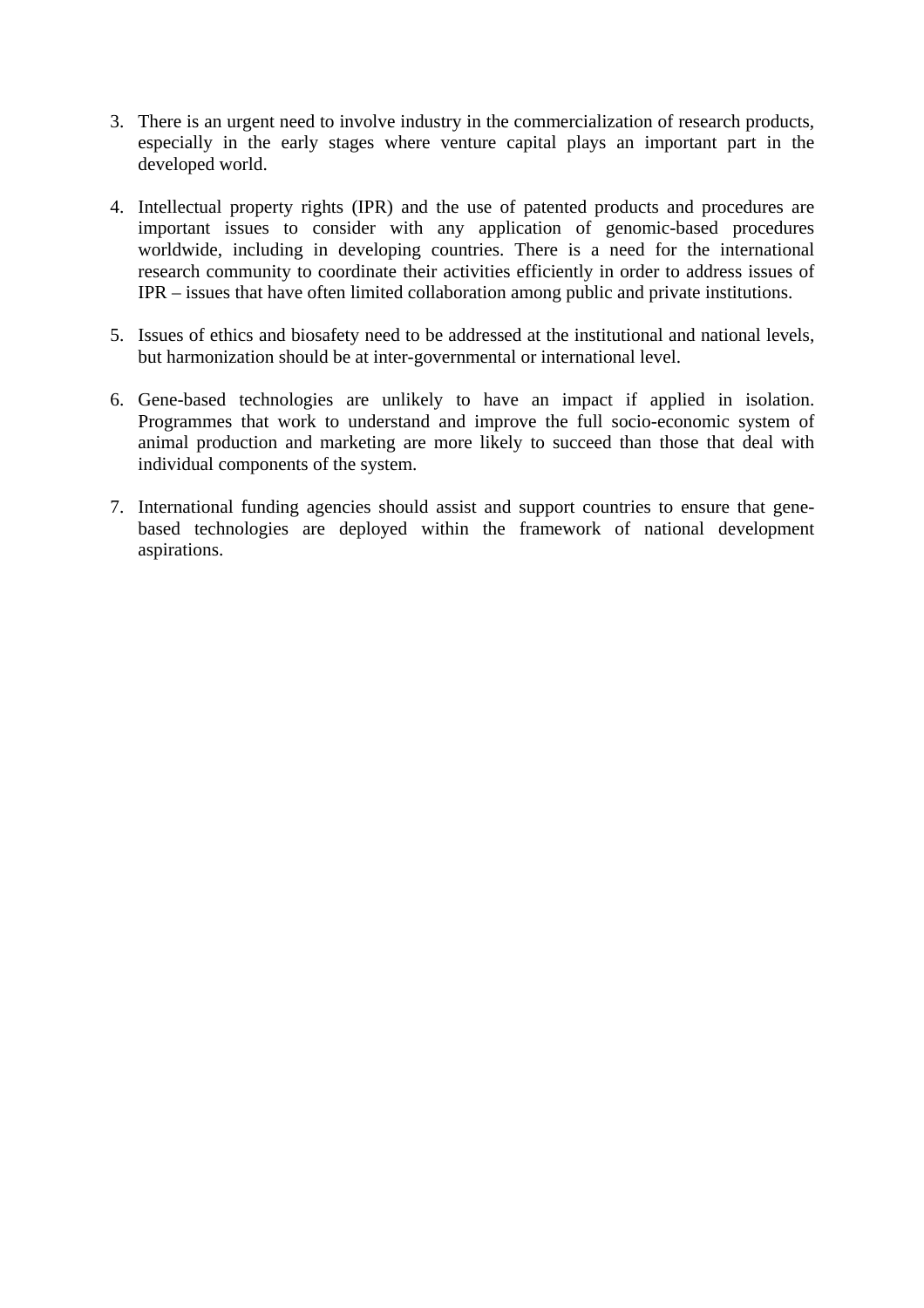- 3. There is an urgent need to involve industry in the commercialization of research products, especially in the early stages where venture capital plays an important part in the developed world.
- 4. Intellectual property rights (IPR) and the use of patented products and procedures are important issues to consider with any application of genomic-based procedures worldwide, including in developing countries. There is a need for the international research community to coordinate their activities efficiently in order to address issues of IPR – issues that have often limited collaboration among public and private institutions.
- 5. Issues of ethics and biosafety need to be addressed at the institutional and national levels, but harmonization should be at inter-governmental or international level.
- 6. Gene-based technologies are unlikely to have an impact if applied in isolation. Programmes that work to understand and improve the full socio-economic system of animal production and marketing are more likely to succeed than those that deal with individual components of the system.
- 7. International funding agencies should assist and support countries to ensure that genebased technologies are deployed within the framework of national development aspirations.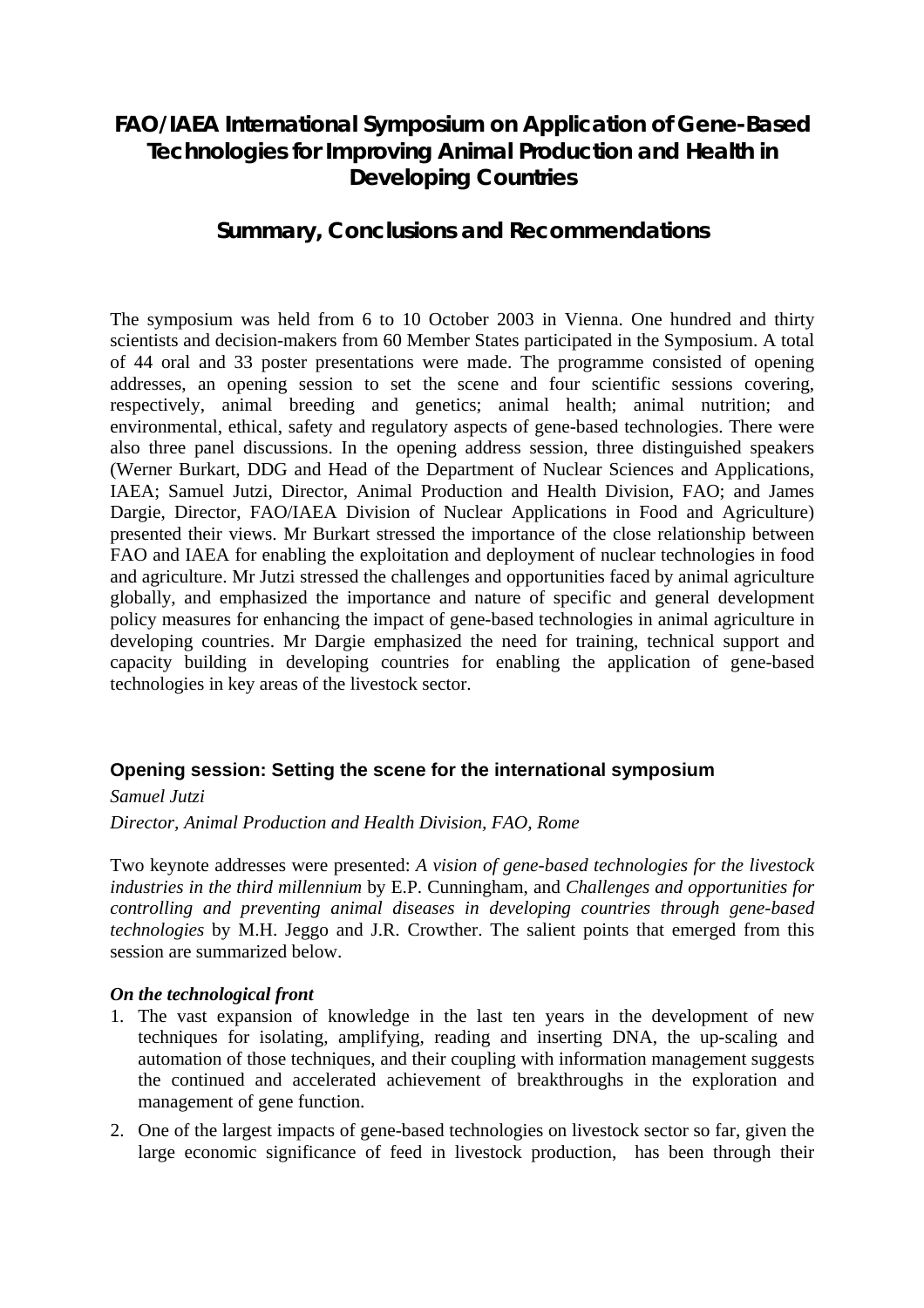# **FAO/IAEA International Symposium on** *Application of Gene-Based Technologies for Improving Animal Production and Health in Developing Countries*

# **Summary, Conclusions and Recommendations**

The symposium was held from 6 to 10 October 2003 in Vienna. One hundred and thirty scientists and decision-makers from 60 Member States participated in the Symposium. A total of 44 oral and 33 poster presentations were made. The programme consisted of opening addresses, an opening session to set the scene and four scientific sessions covering, respectively, animal breeding and genetics; animal health; animal nutrition; and environmental, ethical, safety and regulatory aspects of gene-based technologies. There were also three panel discussions. In the opening address session, three distinguished speakers (Werner Burkart, DDG and Head of the Department of Nuclear Sciences and Applications, IAEA; Samuel Jutzi, Director, Animal Production and Health Division, FAO; and James Dargie, Director, FAO/IAEA Division of Nuclear Applications in Food and Agriculture) presented their views. Mr Burkart stressed the importance of the close relationship between FAO and IAEA for enabling the exploitation and deployment of nuclear technologies in food and agriculture. Mr Jutzi stressed the challenges and opportunities faced by animal agriculture globally, and emphasized the importance and nature of specific and general development policy measures for enhancing the impact of gene-based technologies in animal agriculture in developing countries. Mr Dargie emphasized the need for training, technical support and capacity building in developing countries for enabling the application of gene-based technologies in key areas of the livestock sector.

### **Opening session: Setting the scene for the international symposium**

*Samuel Jutzi Director, Animal Production and Health Division, FAO, Rome* 

Two keynote addresses were presented: *A vision of gene-based technologies for the livestock industries in the third millennium* by E.P. Cunningham, and *Challenges and opportunities for controlling and preventing animal diseases in developing countries through gene-based technologies* by M.H. Jeggo and J.R. Crowther. The salient points that emerged from this session are summarized below.

### *On the technological front*

- 1. The vast expansion of knowledge in the last ten years in the development of new techniques for isolating, amplifying, reading and inserting DNA, the up-scaling and automation of those techniques, and their coupling with information management suggests the continued and accelerated achievement of breakthroughs in the exploration and management of gene function.
- 2. One of the largest impacts of gene-based technologies on livestock sector so far, given the large economic significance of feed in livestock production, has been through their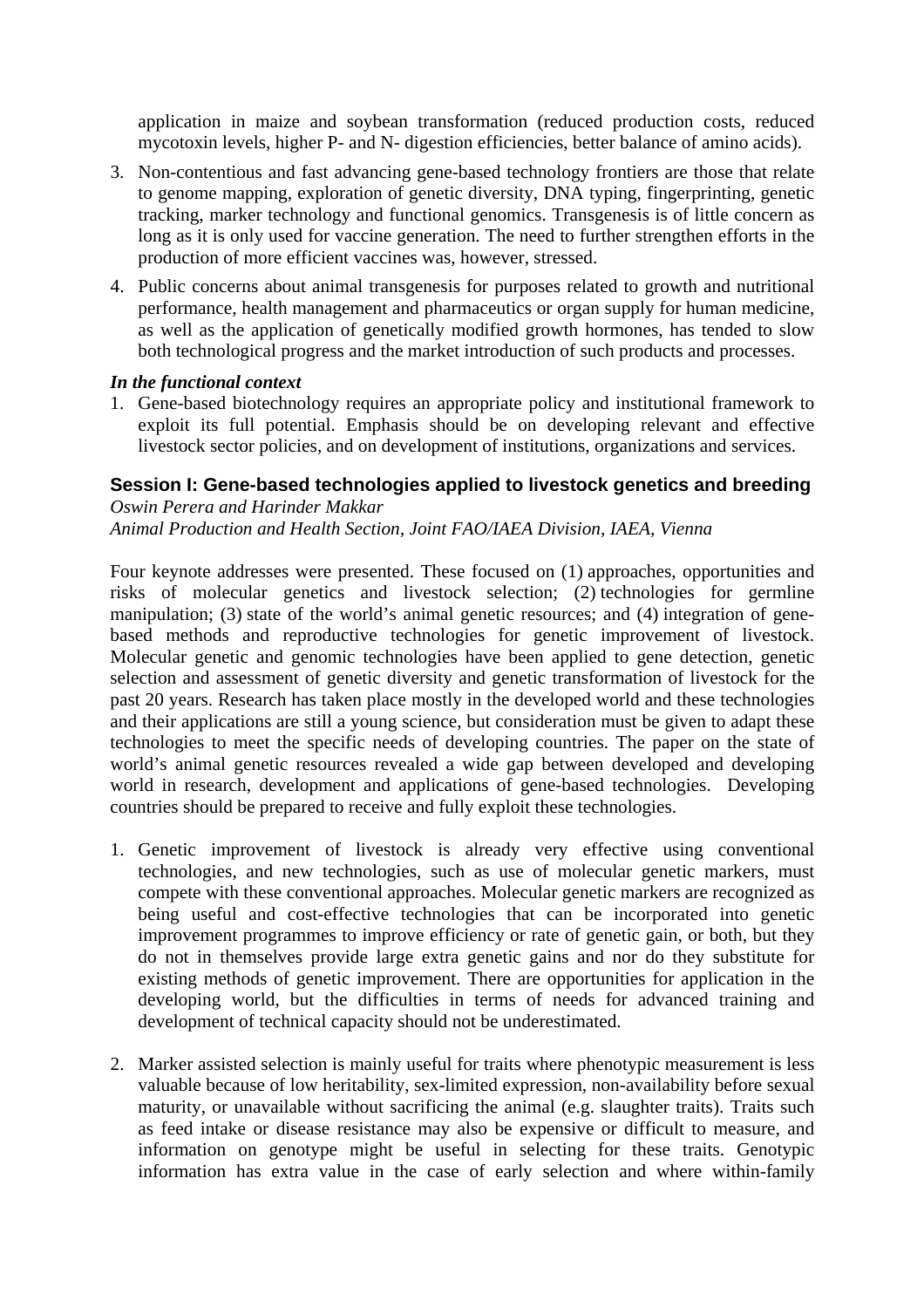application in maize and soybean transformation (reduced production costs, reduced mycotoxin levels, higher P- and N- digestion efficiencies, better balance of amino acids).

- 3. Non-contentious and fast advancing gene-based technology frontiers are those that relate to genome mapping, exploration of genetic diversity, DNA typing, fingerprinting, genetic tracking, marker technology and functional genomics. Transgenesis is of little concern as long as it is only used for vaccine generation. The need to further strengthen efforts in the production of more efficient vaccines was, however, stressed.
- 4. Public concerns about animal transgenesis for purposes related to growth and nutritional performance, health management and pharmaceutics or organ supply for human medicine, as well as the application of genetically modified growth hormones, has tended to slow both technological progress and the market introduction of such products and processes.

### *In the functional context*

1. Gene-based biotechnology requires an appropriate policy and institutional framework to exploit its full potential. Emphasis should be on developing relevant and effective livestock sector policies, and on development of institutions, organizations and services.

# **Session I: Gene-based technologies applied to livestock genetics and breeding**

*Oswin Perera and Harinder Makkar Animal Production and Health Section, Joint FAO/IAEA Division, IAEA, Vienna* 

Four keynote addresses were presented. These focused on (1) approaches, opportunities and risks of molecular genetics and livestock selection; (2) technologies for germline manipulation; (3) state of the world's animal genetic resources; and (4) integration of genebased methods and reproductive technologies for genetic improvement of livestock. Molecular genetic and genomic technologies have been applied to gene detection, genetic selection and assessment of genetic diversity and genetic transformation of livestock for the past 20 years. Research has taken place mostly in the developed world and these technologies and their applications are still a young science, but consideration must be given to adapt these technologies to meet the specific needs of developing countries. The paper on the state of world's animal genetic resources revealed a wide gap between developed and developing world in research, development and applications of gene-based technologies. Developing countries should be prepared to receive and fully exploit these technologies.

- 1. Genetic improvement of livestock is already very effective using conventional technologies, and new technologies, such as use of molecular genetic markers, must compete with these conventional approaches. Molecular genetic markers are recognized as being useful and cost-effective technologies that can be incorporated into genetic improvement programmes to improve efficiency or rate of genetic gain, or both, but they do not in themselves provide large extra genetic gains and nor do they substitute for existing methods of genetic improvement. There are opportunities for application in the developing world, but the difficulties in terms of needs for advanced training and development of technical capacity should not be underestimated.
- 2. Marker assisted selection is mainly useful for traits where phenotypic measurement is less valuable because of low heritability, sex-limited expression, non-availability before sexual maturity, or unavailable without sacrificing the animal (e.g. slaughter traits). Traits such as feed intake or disease resistance may also be expensive or difficult to measure, and information on genotype might be useful in selecting for these traits. Genotypic information has extra value in the case of early selection and where within-family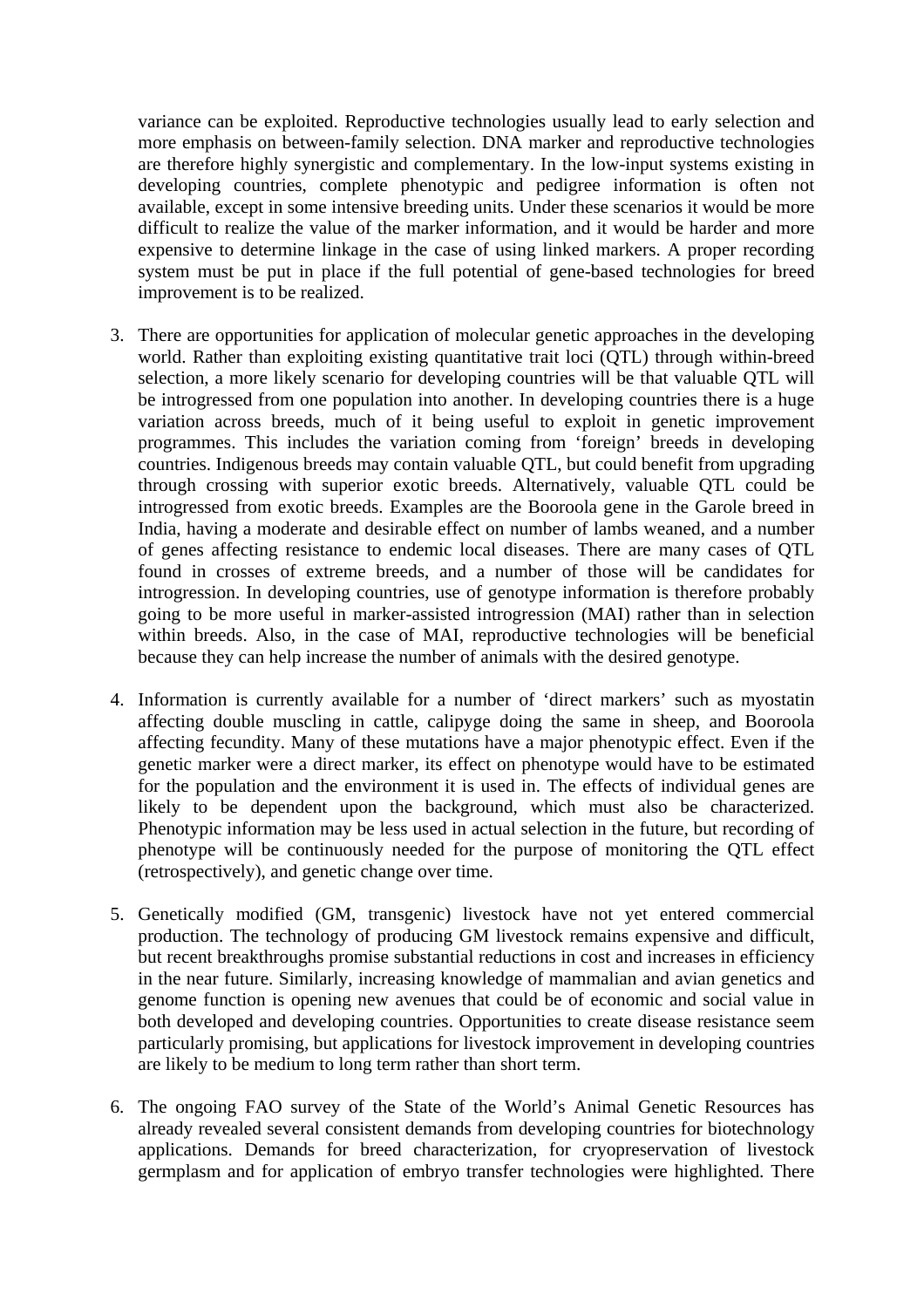variance can be exploited. Reproductive technologies usually lead to early selection and more emphasis on between-family selection. DNA marker and reproductive technologies are therefore highly synergistic and complementary. In the low-input systems existing in developing countries, complete phenotypic and pedigree information is often not available, except in some intensive breeding units. Under these scenarios it would be more difficult to realize the value of the marker information, and it would be harder and more expensive to determine linkage in the case of using linked markers. A proper recording system must be put in place if the full potential of gene-based technologies for breed improvement is to be realized.

- 3. There are opportunities for application of molecular genetic approaches in the developing world. Rather than exploiting existing quantitative trait loci (QTL) through within-breed selection, a more likely scenario for developing countries will be that valuable QTL will be introgressed from one population into another. In developing countries there is a huge variation across breeds, much of it being useful to exploit in genetic improvement programmes. This includes the variation coming from 'foreign' breeds in developing countries. Indigenous breeds may contain valuable QTL, but could benefit from upgrading through crossing with superior exotic breeds. Alternatively, valuable QTL could be introgressed from exotic breeds. Examples are the Booroola gene in the Garole breed in India, having a moderate and desirable effect on number of lambs weaned, and a number of genes affecting resistance to endemic local diseases. There are many cases of QTL found in crosses of extreme breeds, and a number of those will be candidates for introgression. In developing countries, use of genotype information is therefore probably going to be more useful in marker-assisted introgression (MAI) rather than in selection within breeds. Also, in the case of MAI, reproductive technologies will be beneficial because they can help increase the number of animals with the desired genotype.
- 4. Information is currently available for a number of 'direct markers' such as myostatin affecting double muscling in cattle, calipyge doing the same in sheep, and Booroola affecting fecundity. Many of these mutations have a major phenotypic effect. Even if the genetic marker were a direct marker, its effect on phenotype would have to be estimated for the population and the environment it is used in. The effects of individual genes are likely to be dependent upon the background, which must also be characterized. Phenotypic information may be less used in actual selection in the future, but recording of phenotype will be continuously needed for the purpose of monitoring the QTL effect (retrospectively), and genetic change over time.
- 5. Genetically modified (GM, transgenic) livestock have not yet entered commercial production. The technology of producing GM livestock remains expensive and difficult, but recent breakthroughs promise substantial reductions in cost and increases in efficiency in the near future. Similarly, increasing knowledge of mammalian and avian genetics and genome function is opening new avenues that could be of economic and social value in both developed and developing countries. Opportunities to create disease resistance seem particularly promising, but applications for livestock improvement in developing countries are likely to be medium to long term rather than short term.
- 6. The ongoing FAO survey of the State of the World's Animal Genetic Resources has already revealed several consistent demands from developing countries for biotechnology applications. Demands for breed characterization, for cryopreservation of livestock germplasm and for application of embryo transfer technologies were highlighted. There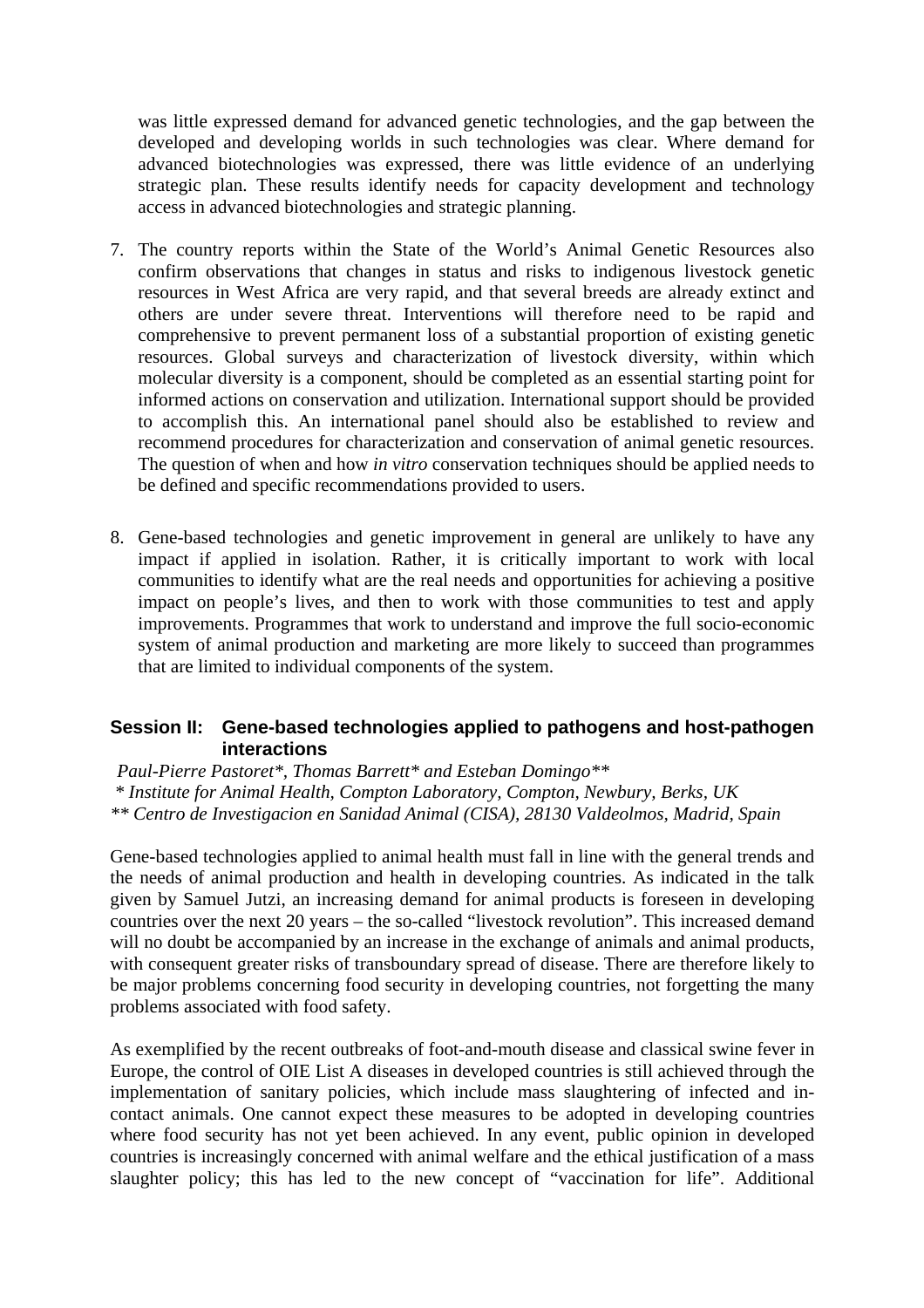was little expressed demand for advanced genetic technologies, and the gap between the developed and developing worlds in such technologies was clear. Where demand for advanced biotechnologies was expressed, there was little evidence of an underlying strategic plan. These results identify needs for capacity development and technology access in advanced biotechnologies and strategic planning.

- 7. The country reports within the State of the World's Animal Genetic Resources also confirm observations that changes in status and risks to indigenous livestock genetic resources in West Africa are very rapid, and that several breeds are already extinct and others are under severe threat. Interventions will therefore need to be rapid and comprehensive to prevent permanent loss of a substantial proportion of existing genetic resources. Global surveys and characterization of livestock diversity, within which molecular diversity is a component, should be completed as an essential starting point for informed actions on conservation and utilization. International support should be provided to accomplish this. An international panel should also be established to review and recommend procedures for characterization and conservation of animal genetic resources. The question of when and how *in vitro* conservation techniques should be applied needs to be defined and specific recommendations provided to users.
- 8. Gene-based technologies and genetic improvement in general are unlikely to have any impact if applied in isolation. Rather, it is critically important to work with local communities to identify what are the real needs and opportunities for achieving a positive impact on people's lives, and then to work with those communities to test and apply improvements. Programmes that work to understand and improve the full socio-economic system of animal production and marketing are more likely to succeed than programmes that are limited to individual components of the system.

### **Session II: Gene-based technologies applied to pathogens and host-pathogen interactions**

*Paul-Pierre Pastoret\*, Thomas Barrett\* and Esteban Domingo\*\* \* Institute for Animal Health, Compton Laboratory, Compton, Newbury, Berks, UK \*\* Centro de Investigacion en Sanidad Animal (CISA), 28130 Valdeolmos, Madrid, Spain* 

Gene-based technologies applied to animal health must fall in line with the general trends and the needs of animal production and health in developing countries. As indicated in the talk given by Samuel Jutzi, an increasing demand for animal products is foreseen in developing countries over the next 20 years – the so-called "livestock revolution". This increased demand will no doubt be accompanied by an increase in the exchange of animals and animal products, with consequent greater risks of transboundary spread of disease. There are therefore likely to be major problems concerning food security in developing countries, not forgetting the many problems associated with food safety.

As exemplified by the recent outbreaks of foot-and-mouth disease and classical swine fever in Europe, the control of OIE List A diseases in developed countries is still achieved through the implementation of sanitary policies, which include mass slaughtering of infected and incontact animals. One cannot expect these measures to be adopted in developing countries where food security has not yet been achieved. In any event, public opinion in developed countries is increasingly concerned with animal welfare and the ethical justification of a mass slaughter policy; this has led to the new concept of "vaccination for life". Additional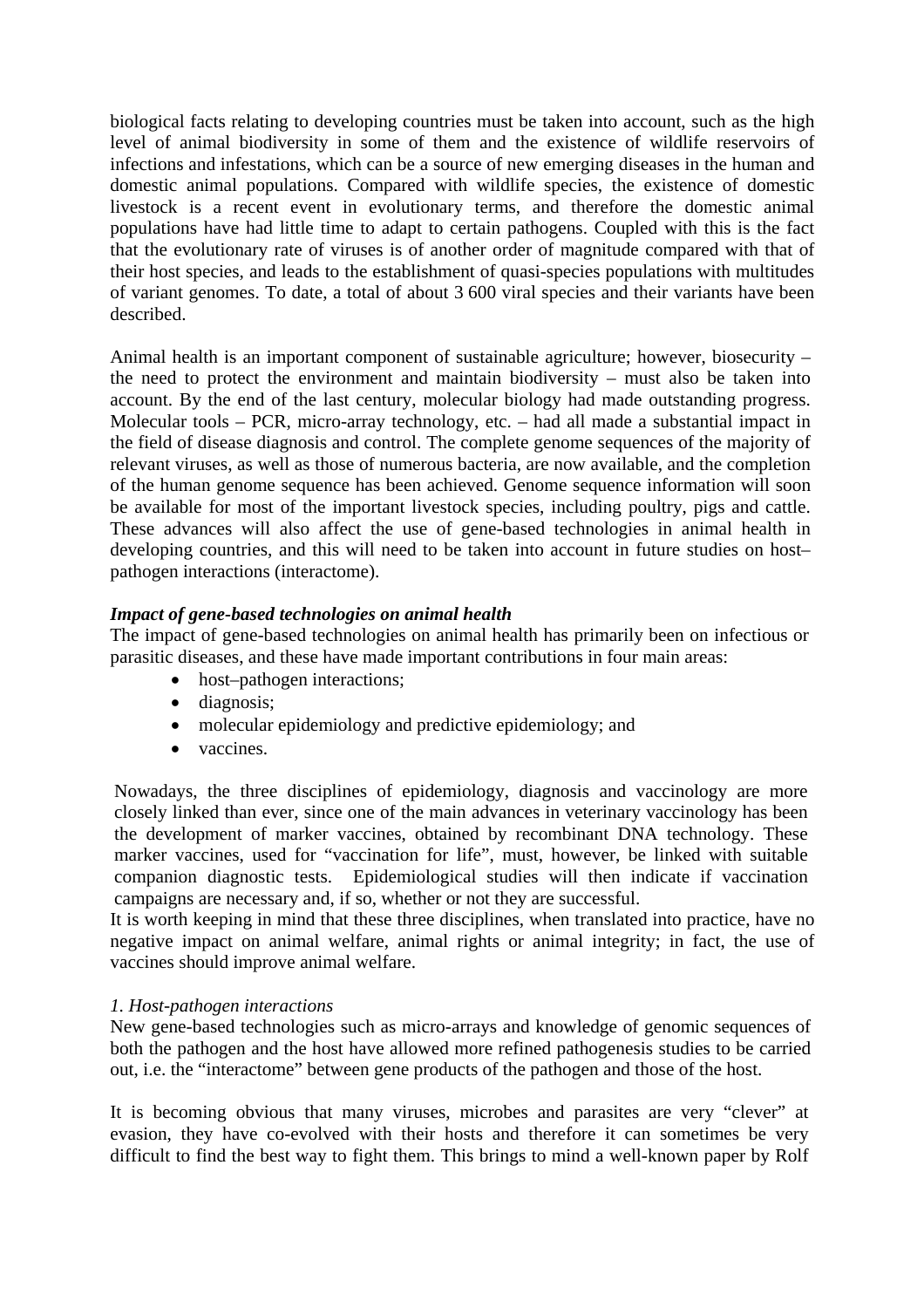biological facts relating to developing countries must be taken into account, such as the high level of animal biodiversity in some of them and the existence of wildlife reservoirs of infections and infestations, which can be a source of new emerging diseases in the human and domestic animal populations. Compared with wildlife species, the existence of domestic livestock is a recent event in evolutionary terms, and therefore the domestic animal populations have had little time to adapt to certain pathogens. Coupled with this is the fact that the evolutionary rate of viruses is of another order of magnitude compared with that of their host species, and leads to the establishment of quasi-species populations with multitudes of variant genomes. To date, a total of about 3 600 viral species and their variants have been described.

Animal health is an important component of sustainable agriculture; however, biosecurity – the need to protect the environment and maintain biodiversity – must also be taken into account. By the end of the last century, molecular biology had made outstanding progress. Molecular tools – PCR, micro-array technology, etc. – had all made a substantial impact in the field of disease diagnosis and control. The complete genome sequences of the majority of relevant viruses, as well as those of numerous bacteria, are now available, and the completion of the human genome sequence has been achieved. Genome sequence information will soon be available for most of the important livestock species, including poultry, pigs and cattle. These advances will also affect the use of gene-based technologies in animal health in developing countries, and this will need to be taken into account in future studies on host– pathogen interactions (interactome).

### *Impact of gene-based technologies on animal health*

The impact of gene-based technologies on animal health has primarily been on infectious or parasitic diseases, and these have made important contributions in four main areas:

- host–pathogen interactions;
- diagnosis;
- molecular epidemiology and predictive epidemiology; and
- vaccines.

Nowadays, the three disciplines of epidemiology, diagnosis and vaccinology are more closely linked than ever, since one of the main advances in veterinary vaccinology has been the development of marker vaccines, obtained by recombinant DNA technology. These marker vaccines, used for "vaccination for life", must, however, be linked with suitable companion diagnostic tests. Epidemiological studies will then indicate if vaccination campaigns are necessary and, if so, whether or not they are successful.

It is worth keeping in mind that these three disciplines, when translated into practice, have no negative impact on animal welfare, animal rights or animal integrity; in fact, the use of vaccines should improve animal welfare.

### *1. Host-pathogen interactions*

New gene-based technologies such as micro-arrays and knowledge of genomic sequences of both the pathogen and the host have allowed more refined pathogenesis studies to be carried out, i.e. the "interactome" between gene products of the pathogen and those of the host.

It is becoming obvious that many viruses, microbes and parasites are very "clever" at evasion, they have co-evolved with their hosts and therefore it can sometimes be very difficult to find the best way to fight them. This brings to mind a well-known paper by Rolf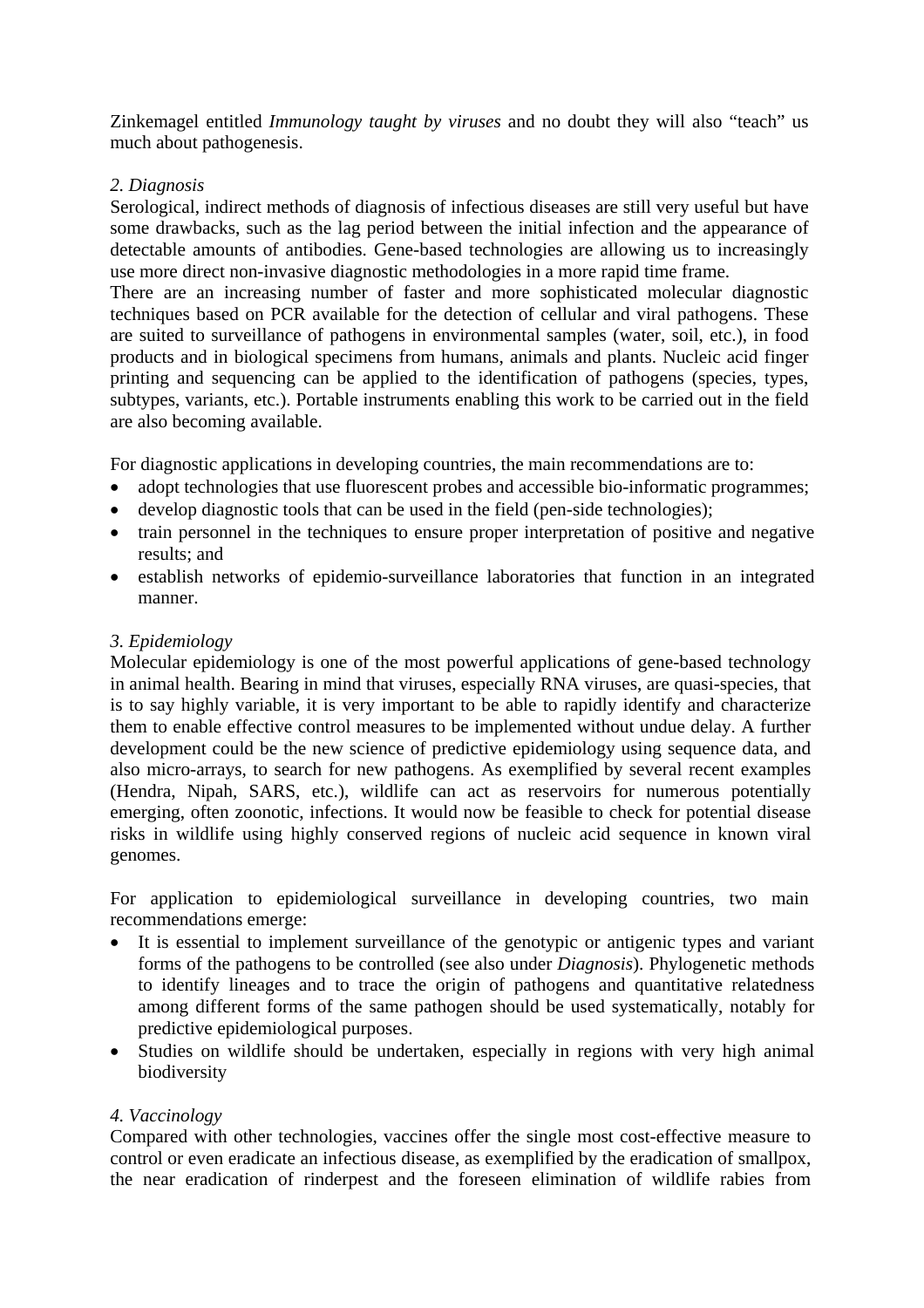Zinkemagel entitled *Immunology taught by viruses* and no doubt they will also "teach" us much about pathogenesis.

# *2. Diagnosis*

Serological, indirect methods of diagnosis of infectious diseases are still very useful but have some drawbacks, such as the lag period between the initial infection and the appearance of detectable amounts of antibodies. Gene-based technologies are allowing us to increasingly use more direct non-invasive diagnostic methodologies in a more rapid time frame.

There are an increasing number of faster and more sophisticated molecular diagnostic techniques based on PCR available for the detection of cellular and viral pathogens. These are suited to surveillance of pathogens in environmental samples (water, soil, etc.), in food products and in biological specimens from humans, animals and plants. Nucleic acid finger printing and sequencing can be applied to the identification of pathogens (species, types, subtypes, variants, etc.). Portable instruments enabling this work to be carried out in the field are also becoming available.

For diagnostic applications in developing countries, the main recommendations are to:

- adopt technologies that use fluorescent probes and accessible bio-informatic programmes:
- develop diagnostic tools that can be used in the field (pen-side technologies);
- train personnel in the techniques to ensure proper interpretation of positive and negative results; and
- establish networks of epidemio-surveillance laboratories that function in an integrated manner.

### *3. Epidemiology*

Molecular epidemiology is one of the most powerful applications of gene-based technology in animal health. Bearing in mind that viruses, especially RNA viruses, are quasi-species, that is to say highly variable, it is very important to be able to rapidly identify and characterize them to enable effective control measures to be implemented without undue delay. A further development could be the new science of predictive epidemiology using sequence data, and also micro-arrays, to search for new pathogens. As exemplified by several recent examples (Hendra, Nipah, SARS, etc.), wildlife can act as reservoirs for numerous potentially emerging, often zoonotic, infections. It would now be feasible to check for potential disease risks in wildlife using highly conserved regions of nucleic acid sequence in known viral genomes.

For application to epidemiological surveillance in developing countries, two main recommendations emerge:

- It is essential to implement surveillance of the genotypic or antigenic types and variant forms of the pathogens to be controlled (see also under *Diagnosis*). Phylogenetic methods to identify lineages and to trace the origin of pathogens and quantitative relatedness among different forms of the same pathogen should be used systematically, notably for predictive epidemiological purposes.
- Studies on wildlife should be undertaken, especially in regions with very high animal biodiversity

# *4. Vaccinology*

Compared with other technologies, vaccines offer the single most cost-effective measure to control or even eradicate an infectious disease, as exemplified by the eradication of smallpox, the near eradication of rinderpest and the foreseen elimination of wildlife rabies from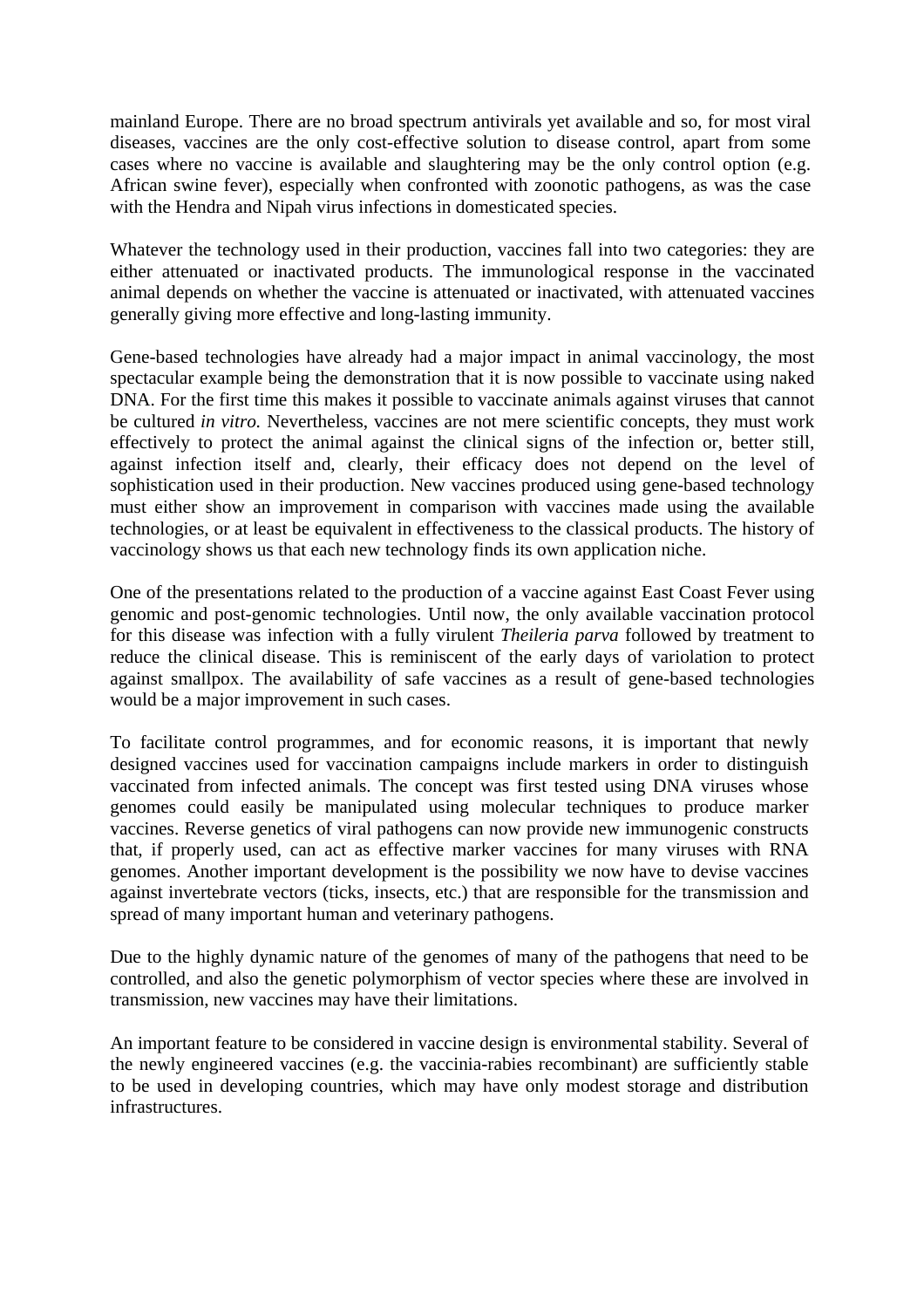mainland Europe. There are no broad spectrum antivirals yet available and so, for most viral diseases, vaccines are the only cost-effective solution to disease control, apart from some cases where no vaccine is available and slaughtering may be the only control option (e.g. African swine fever), especially when confronted with zoonotic pathogens, as was the case with the Hendra and Nipah virus infections in domesticated species.

Whatever the technology used in their production, vaccines fall into two categories: they are either attenuated or inactivated products. The immunological response in the vaccinated animal depends on whether the vaccine is attenuated or inactivated, with attenuated vaccines generally giving more effective and long-lasting immunity.

Gene-based technologies have already had a major impact in animal vaccinology, the most spectacular example being the demonstration that it is now possible to vaccinate using naked DNA. For the first time this makes it possible to vaccinate animals against viruses that cannot be cultured *in vitro*. Nevertheless, vaccines are not mere scientific concepts, they must work effectively to protect the animal against the clinical signs of the infection or, better still, against infection itself and, clearly, their efficacy does not depend on the level of sophistication used in their production. New vaccines produced using gene-based technology must either show an improvement in comparison with vaccines made using the available technologies, or at least be equivalent in effectiveness to the classical products. The history of vaccinology shows us that each new technology finds its own application niche.

One of the presentations related to the production of a vaccine against East Coast Fever using genomic and post-genomic technologies. Until now, the only available vaccination protocol for this disease was infection with a fully virulent *Theileria parva* followed by treatment to reduce the clinical disease. This is reminiscent of the early days of variolation to protect against smallpox. The availability of safe vaccines as a result of gene-based technologies would be a major improvement in such cases.

To facilitate control programmes, and for economic reasons, it is important that newly designed vaccines used for vaccination campaigns include markers in order to distinguish vaccinated from infected animals. The concept was first tested using DNA viruses whose genomes could easily be manipulated using molecular techniques to produce marker vaccines. Reverse genetics of viral pathogens can now provide new immunogenic constructs that, if properly used, can act as effective marker vaccines for many viruses with RNA genomes. Another important development is the possibility we now have to devise vaccines against invertebrate vectors (ticks, insects, etc.) that are responsible for the transmission and spread of many important human and veterinary pathogens.

Due to the highly dynamic nature of the genomes of many of the pathogens that need to be controlled, and also the genetic polymorphism of vector species where these are involved in transmission, new vaccines may have their limitations.

An important feature to be considered in vaccine design is environmental stability. Several of the newly engineered vaccines (e.g. the vaccinia-rabies recombinant) are sufficiently stable to be used in developing countries, which may have only modest storage and distribution infrastructures.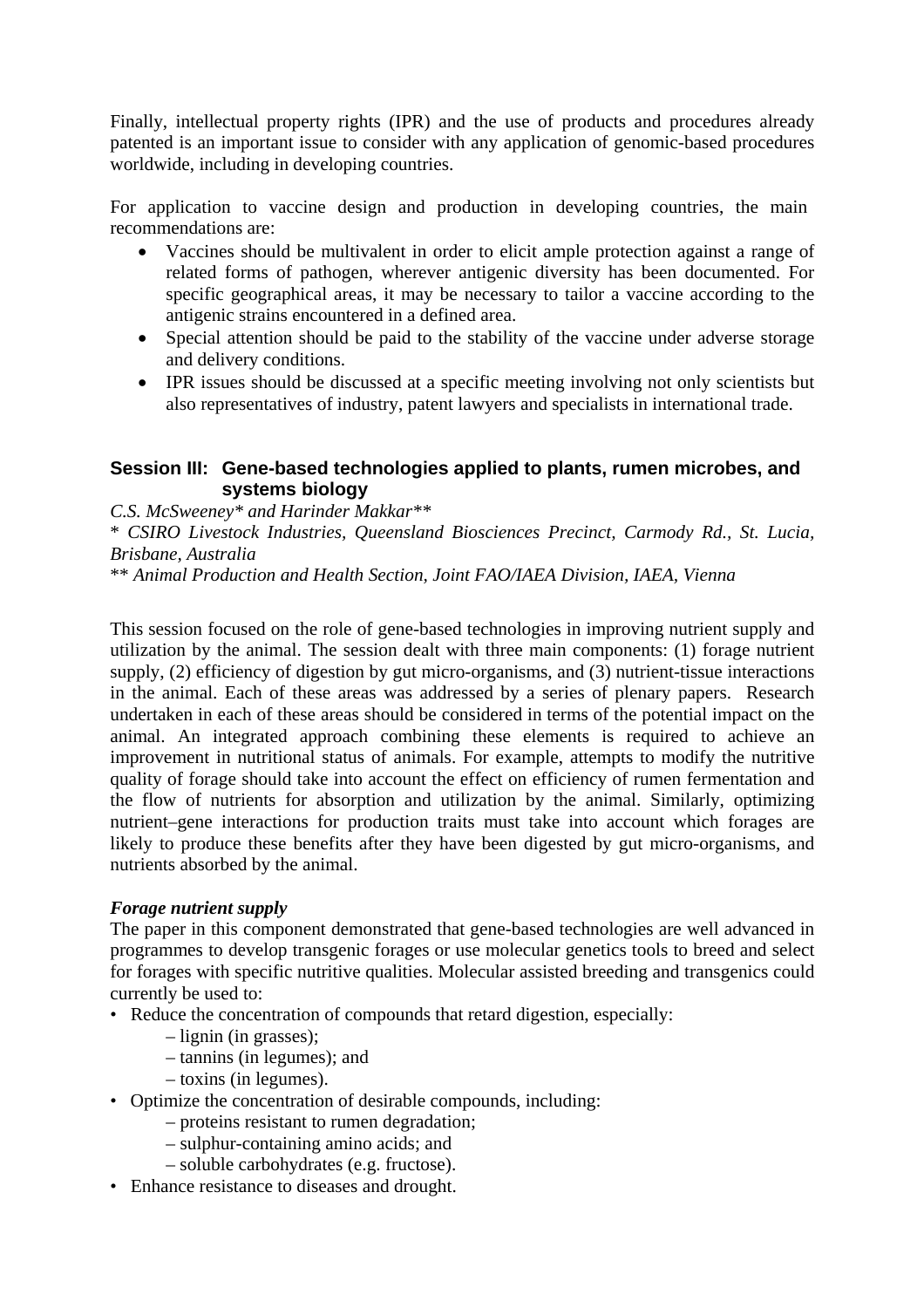Finally, intellectual property rights (IPR) and the use of products and procedures already patented is an important issue to consider with any application of genomic-based procedures worldwide, including in developing countries.

For application to vaccine design and production in developing countries, the main recommendations are:

- Vaccines should be multivalent in order to elicit ample protection against a range of related forms of pathogen, wherever antigenic diversity has been documented. For specific geographical areas, it may be necessary to tailor a vaccine according to the antigenic strains encountered in a defined area.
- Special attention should be paid to the stability of the vaccine under adverse storage and delivery conditions.
- IPR issues should be discussed at a specific meeting involving not only scientists but also representatives of industry, patent lawyers and specialists in international trade.

### **Session III: Gene-based technologies applied to plants, rumen microbes, and systems biology**

*C.S. McSweeney\* and Harinder Makkar\*\** 

\* *CSIRO Livestock Industries, Queensland Biosciences Precinct, Carmody Rd., St. Lucia, Brisbane, Australia* 

\*\* *Animal Production and Health Section, Joint FAO/IAEA Division, IAEA, Vienna*

This session focused on the role of gene-based technologies in improving nutrient supply and utilization by the animal. The session dealt with three main components: (1) forage nutrient supply, (2) efficiency of digestion by gut micro-organisms, and (3) nutrient-tissue interactions in the animal. Each of these areas was addressed by a series of plenary papers. Research undertaken in each of these areas should be considered in terms of the potential impact on the animal. An integrated approach combining these elements is required to achieve an improvement in nutritional status of animals. For example, attempts to modify the nutritive quality of forage should take into account the effect on efficiency of rumen fermentation and the flow of nutrients for absorption and utilization by the animal. Similarly, optimizing nutrient–gene interactions for production traits must take into account which forages are likely to produce these benefits after they have been digested by gut micro-organisms, and nutrients absorbed by the animal.

### *Forage nutrient supply*

The paper in this component demonstrated that gene-based technologies are well advanced in programmes to develop transgenic forages or use molecular genetics tools to breed and select for forages with specific nutritive qualities. Molecular assisted breeding and transgenics could currently be used to:

- Reduce the concentration of compounds that retard digestion, especially:
	- lignin (in grasses);
	- tannins (in legumes); and
	- toxins (in legumes).
- Optimize the concentration of desirable compounds, including:
	- proteins resistant to rumen degradation;
	- sulphur-containing amino acids; and
	- soluble carbohydrates (e.g. fructose).
- Enhance resistance to diseases and drought.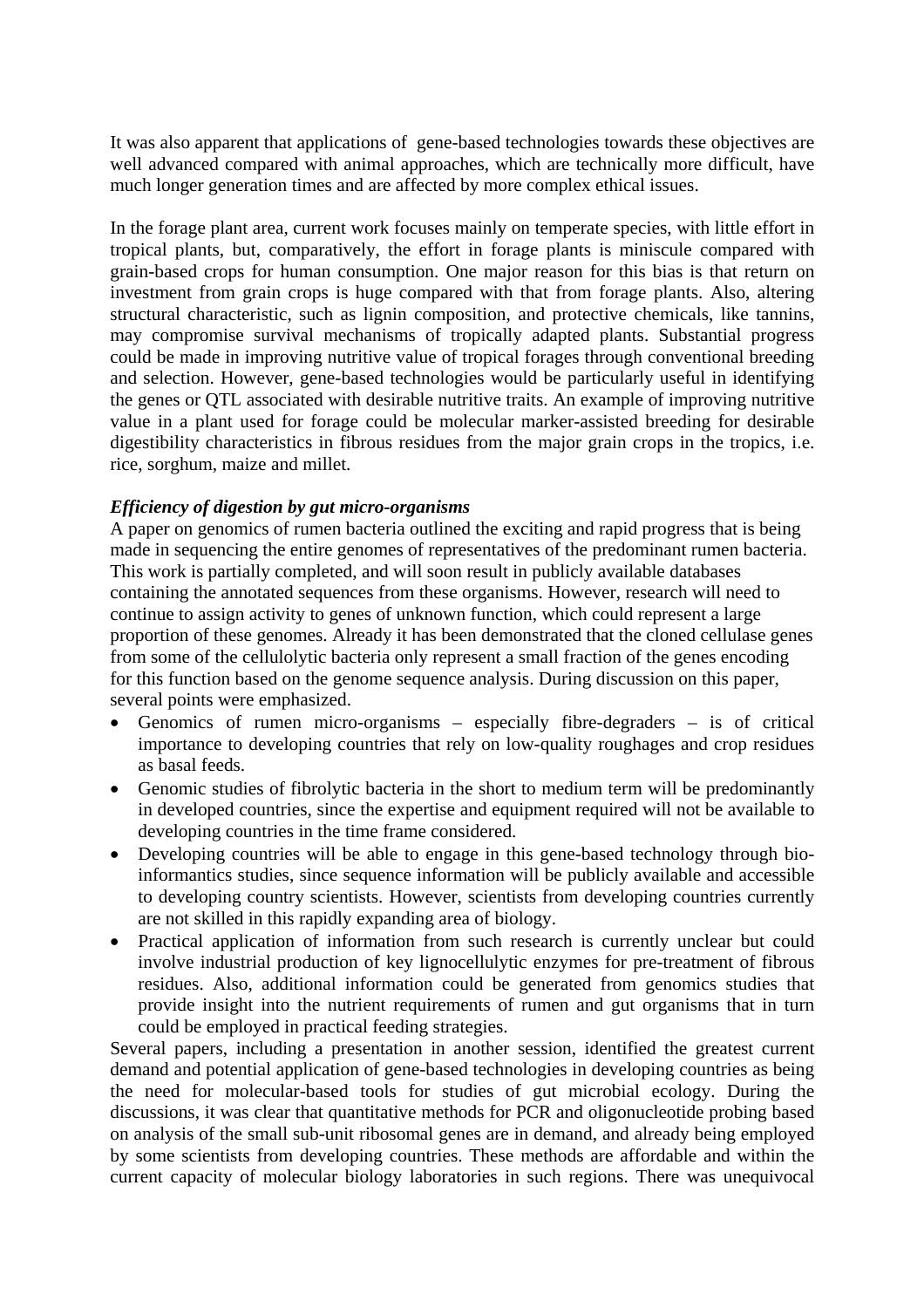It was also apparent that applications of gene-based technologies towards these objectives are well advanced compared with animal approaches, which are technically more difficult, have much longer generation times and are affected by more complex ethical issues.

In the forage plant area, current work focuses mainly on temperate species, with little effort in tropical plants, but, comparatively, the effort in forage plants is miniscule compared with grain-based crops for human consumption. One major reason for this bias is that return on investment from grain crops is huge compared with that from forage plants. Also, altering structural characteristic, such as lignin composition, and protective chemicals, like tannins, may compromise survival mechanisms of tropically adapted plants. Substantial progress could be made in improving nutritive value of tropical forages through conventional breeding and selection. However, gene-based technologies would be particularly useful in identifying the genes or QTL associated with desirable nutritive traits. An example of improving nutritive value in a plant used for forage could be molecular marker-assisted breeding for desirable digestibility characteristics in fibrous residues from the major grain crops in the tropics, i.e. rice, sorghum, maize and millet.

### *Efficiency of digestion by gut micro-organisms*

A paper on genomics of rumen bacteria outlined the exciting and rapid progress that is being made in sequencing the entire genomes of representatives of the predominant rumen bacteria. This work is partially completed, and will soon result in publicly available databases containing the annotated sequences from these organisms. However, research will need to continue to assign activity to genes of unknown function, which could represent a large proportion of these genomes. Already it has been demonstrated that the cloned cellulase genes from some of the cellulolytic bacteria only represent a small fraction of the genes encoding for this function based on the genome sequence analysis. During discussion on this paper, several points were emphasized.

- Genomics of rumen micro-organisms especially fibre-degraders is of critical importance to developing countries that rely on low-quality roughages and crop residues as basal feeds.
- Genomic studies of fibrolytic bacteria in the short to medium term will be predominantly in developed countries, since the expertise and equipment required will not be available to developing countries in the time frame considered.
- Developing countries will be able to engage in this gene-based technology through bioinformantics studies, since sequence information will be publicly available and accessible to developing country scientists. However, scientists from developing countries currently are not skilled in this rapidly expanding area of biology.
- Practical application of information from such research is currently unclear but could involve industrial production of key lignocellulytic enzymes for pre-treatment of fibrous residues. Also, additional information could be generated from genomics studies that provide insight into the nutrient requirements of rumen and gut organisms that in turn could be employed in practical feeding strategies.

Several papers, including a presentation in another session, identified the greatest current demand and potential application of gene-based technologies in developing countries as being the need for molecular-based tools for studies of gut microbial ecology. During the discussions, it was clear that quantitative methods for PCR and oligonucleotide probing based on analysis of the small sub-unit ribosomal genes are in demand, and already being employed by some scientists from developing countries. These methods are affordable and within the current capacity of molecular biology laboratories in such regions. There was unequivocal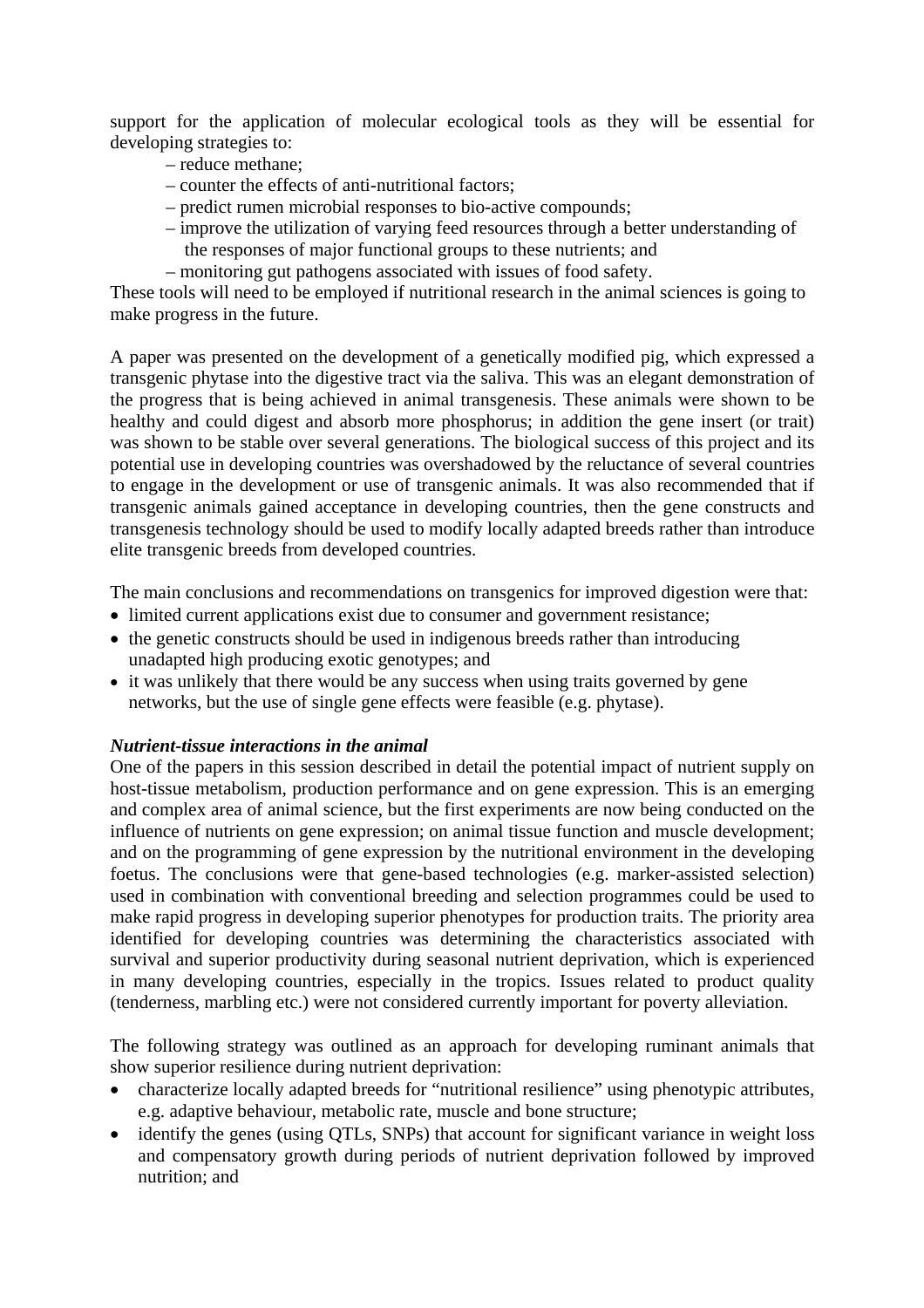support for the application of molecular ecological tools as they will be essential for developing strategies to:

- reduce methane;
- counter the effects of anti-nutritional factors;
- predict rumen microbial responses to bio-active compounds;
- improve the utilization of varying feed resources through a better understanding of the responses of major functional groups to these nutrients; and
- monitoring gut pathogens associated with issues of food safety.

These tools will need to be employed if nutritional research in the animal sciences is going to make progress in the future.

A paper was presented on the development of a genetically modified pig, which expressed a transgenic phytase into the digestive tract via the saliva. This was an elegant demonstration of the progress that is being achieved in animal transgenesis. These animals were shown to be healthy and could digest and absorb more phosphorus; in addition the gene insert (or trait) was shown to be stable over several generations. The biological success of this project and its potential use in developing countries was overshadowed by the reluctance of several countries to engage in the development or use of transgenic animals. It was also recommended that if transgenic animals gained acceptance in developing countries, then the gene constructs and transgenesis technology should be used to modify locally adapted breeds rather than introduce elite transgenic breeds from developed countries.

The main conclusions and recommendations on transgenics for improved digestion were that:

- limited current applications exist due to consumer and government resistance;
- the genetic constructs should be used in indigenous breeds rather than introducing unadapted high producing exotic genotypes; and
- it was unlikely that there would be any success when using traits governed by gene networks, but the use of single gene effects were feasible (e.g. phytase).

### *Nutrient-tissue interactions in the animal*

One of the papers in this session described in detail the potential impact of nutrient supply on host-tissue metabolism, production performance and on gene expression. This is an emerging and complex area of animal science, but the first experiments are now being conducted on the influence of nutrients on gene expression; on animal tissue function and muscle development; and on the programming of gene expression by the nutritional environment in the developing foetus. The conclusions were that gene-based technologies (e.g. marker-assisted selection) used in combination with conventional breeding and selection programmes could be used to make rapid progress in developing superior phenotypes for production traits. The priority area identified for developing countries was determining the characteristics associated with survival and superior productivity during seasonal nutrient deprivation, which is experienced in many developing countries, especially in the tropics. Issues related to product quality (tenderness, marbling etc.) were not considered currently important for poverty alleviation.

The following strategy was outlined as an approach for developing ruminant animals that show superior resilience during nutrient deprivation:

- characterize locally adapted breeds for "nutritional resilience" using phenotypic attributes, e.g. adaptive behaviour, metabolic rate, muscle and bone structure;
- identify the genes (using OTLs, SNPs) that account for significant variance in weight loss and compensatory growth during periods of nutrient deprivation followed by improved nutrition; and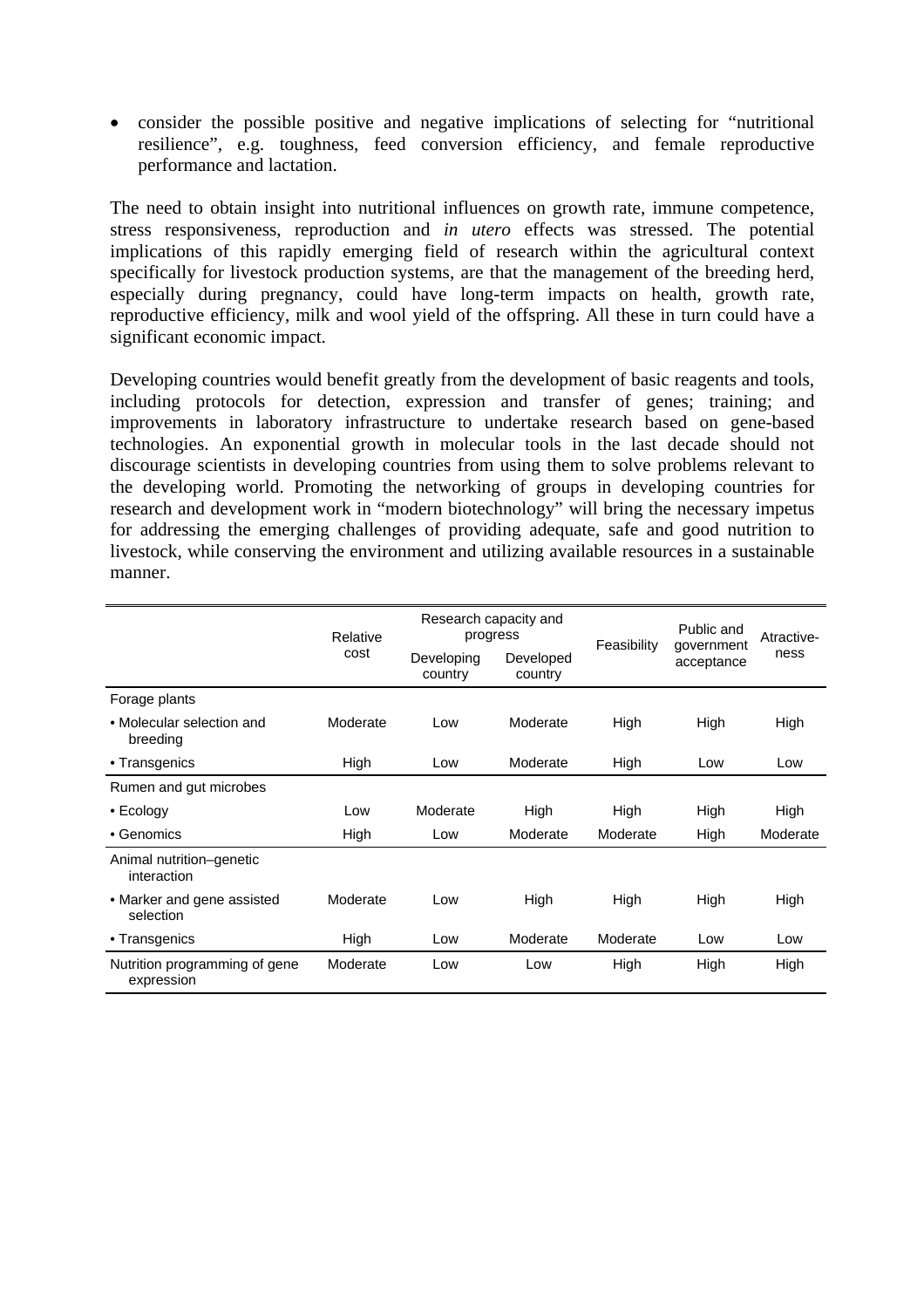• consider the possible positive and negative implications of selecting for "nutritional" resilience", e.g. toughness, feed conversion efficiency, and female reproductive performance and lactation.

The need to obtain insight into nutritional influences on growth rate, immune competence, stress responsiveness, reproduction and *in utero* effects was stressed. The potential implications of this rapidly emerging field of research within the agricultural context specifically for livestock production systems, are that the management of the breeding herd, especially during pregnancy, could have long-term impacts on health, growth rate, reproductive efficiency, milk and wool yield of the offspring. All these in turn could have a significant economic impact.

Developing countries would benefit greatly from the development of basic reagents and tools, including protocols for detection, expression and transfer of genes; training; and improvements in laboratory infrastructure to undertake research based on gene-based technologies. An exponential growth in molecular tools in the last decade should not discourage scientists in developing countries from using them to solve problems relevant to the developing world. Promoting the networking of groups in developing countries for research and development work in "modern biotechnology" will bring the necessary impetus for addressing the emerging challenges of providing adequate, safe and good nutrition to livestock, while conserving the environment and utilizing available resources in a sustainable manner.

|                                             | Relative<br>cost | Research capacity and<br>progress |                      | Feasibility | Public and<br>government | Atractive- |
|---------------------------------------------|------------------|-----------------------------------|----------------------|-------------|--------------------------|------------|
|                                             |                  | Developing<br>country             | Developed<br>country |             | acceptance               | ness       |
| Forage plants                               |                  |                                   |                      |             |                          |            |
| • Molecular selection and<br>breeding       | Moderate         | Low                               | Moderate             | High        | High                     | High       |
| • Transgenics                               | High             | Low                               | Moderate             | High        | Low                      | Low        |
| Rumen and gut microbes                      |                  |                                   |                      |             |                          |            |
| $\bullet$ Ecology                           | Low              | Moderate                          | High                 | High        | High                     | High       |
| • Genomics                                  | High             | Low                               | Moderate             | Moderate    | High                     | Moderate   |
| Animal nutrition-genetic<br>interaction     |                  |                                   |                      |             |                          |            |
| • Marker and gene assisted<br>selection     | Moderate         | Low                               | High                 | High        | High                     | High       |
| • Transgenics                               | High             | Low                               | Moderate             | Moderate    | Low                      | Low        |
| Nutrition programming of gene<br>expression | Moderate         | Low                               | Low                  | High        | High                     | High       |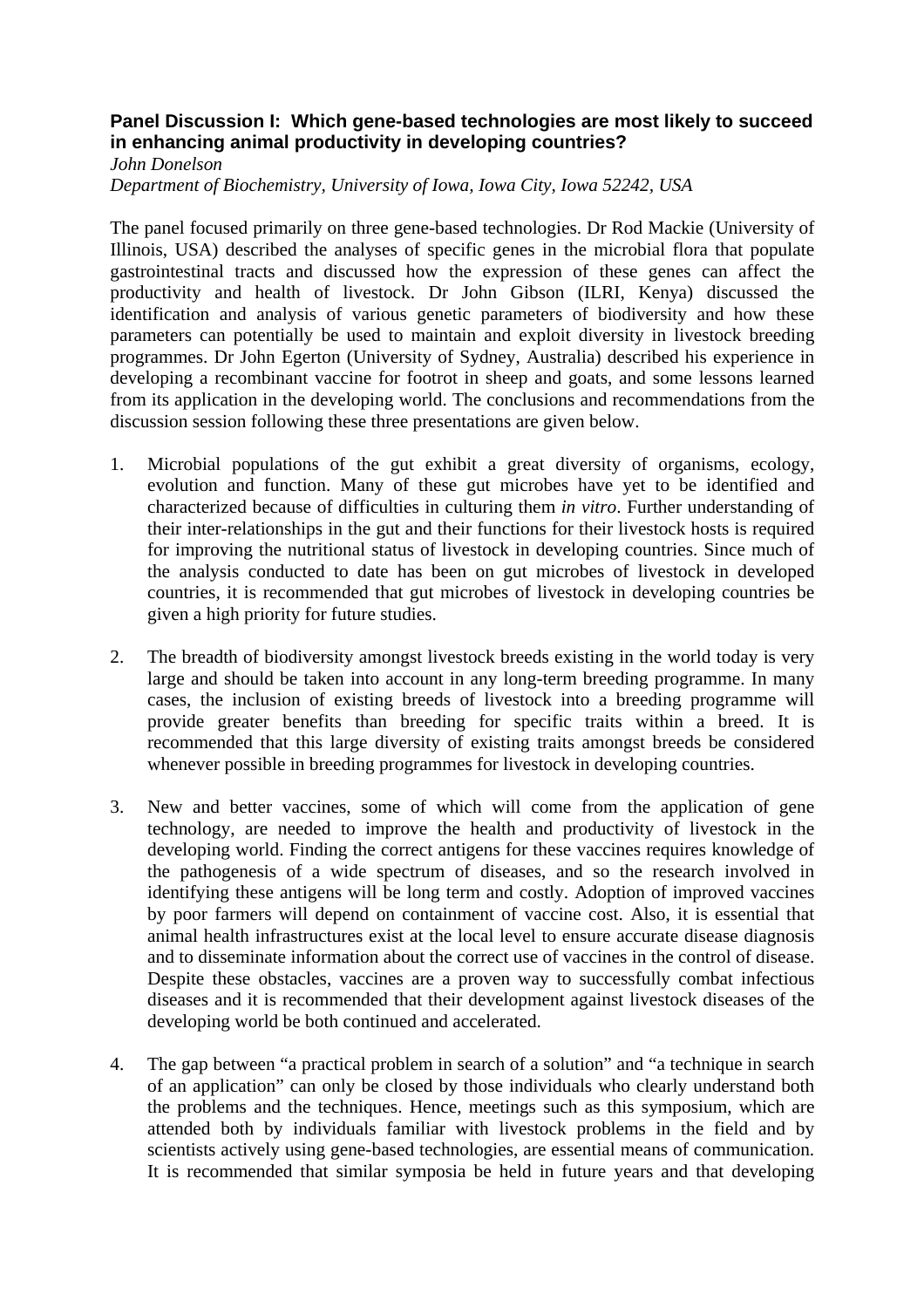# **Panel Discussion I: Which gene-based technologies are most likely to succeed in enhancing animal productivity in developing countries?**

*John Donelson Department of Biochemistry, University of Iowa, Iowa City, Iowa 52242, USA* 

The panel focused primarily on three gene-based technologies. Dr Rod Mackie (University of Illinois, USA) described the analyses of specific genes in the microbial flora that populate gastrointestinal tracts and discussed how the expression of these genes can affect the productivity and health of livestock. Dr John Gibson (ILRI, Kenya) discussed the identification and analysis of various genetic parameters of biodiversity and how these parameters can potentially be used to maintain and exploit diversity in livestock breeding programmes. Dr John Egerton (University of Sydney, Australia) described his experience in developing a recombinant vaccine for footrot in sheep and goats, and some lessons learned from its application in the developing world. The conclusions and recommendations from the discussion session following these three presentations are given below.

- 1. Microbial populations of the gut exhibit a great diversity of organisms, ecology, evolution and function. Many of these gut microbes have yet to be identified and characterized because of difficulties in culturing them *in vitro*. Further understanding of their inter-relationships in the gut and their functions for their livestock hosts is required for improving the nutritional status of livestock in developing countries. Since much of the analysis conducted to date has been on gut microbes of livestock in developed countries, it is recommended that gut microbes of livestock in developing countries be given a high priority for future studies.
- 2. The breadth of biodiversity amongst livestock breeds existing in the world today is very large and should be taken into account in any long-term breeding programme. In many cases, the inclusion of existing breeds of livestock into a breeding programme will provide greater benefits than breeding for specific traits within a breed. It is recommended that this large diversity of existing traits amongst breeds be considered whenever possible in breeding programmes for livestock in developing countries.
- 3. New and better vaccines, some of which will come from the application of gene technology, are needed to improve the health and productivity of livestock in the developing world. Finding the correct antigens for these vaccines requires knowledge of the pathogenesis of a wide spectrum of diseases, and so the research involved in identifying these antigens will be long term and costly. Adoption of improved vaccines by poor farmers will depend on containment of vaccine cost. Also, it is essential that animal health infrastructures exist at the local level to ensure accurate disease diagnosis and to disseminate information about the correct use of vaccines in the control of disease. Despite these obstacles, vaccines are a proven way to successfully combat infectious diseases and it is recommended that their development against livestock diseases of the developing world be both continued and accelerated.
- 4. The gap between "a practical problem in search of a solution" and "a technique in search of an application" can only be closed by those individuals who clearly understand both the problems and the techniques. Hence, meetings such as this symposium, which are attended both by individuals familiar with livestock problems in the field and by scientists actively using gene-based technologies, are essential means of communication. It is recommended that similar symposia be held in future years and that developing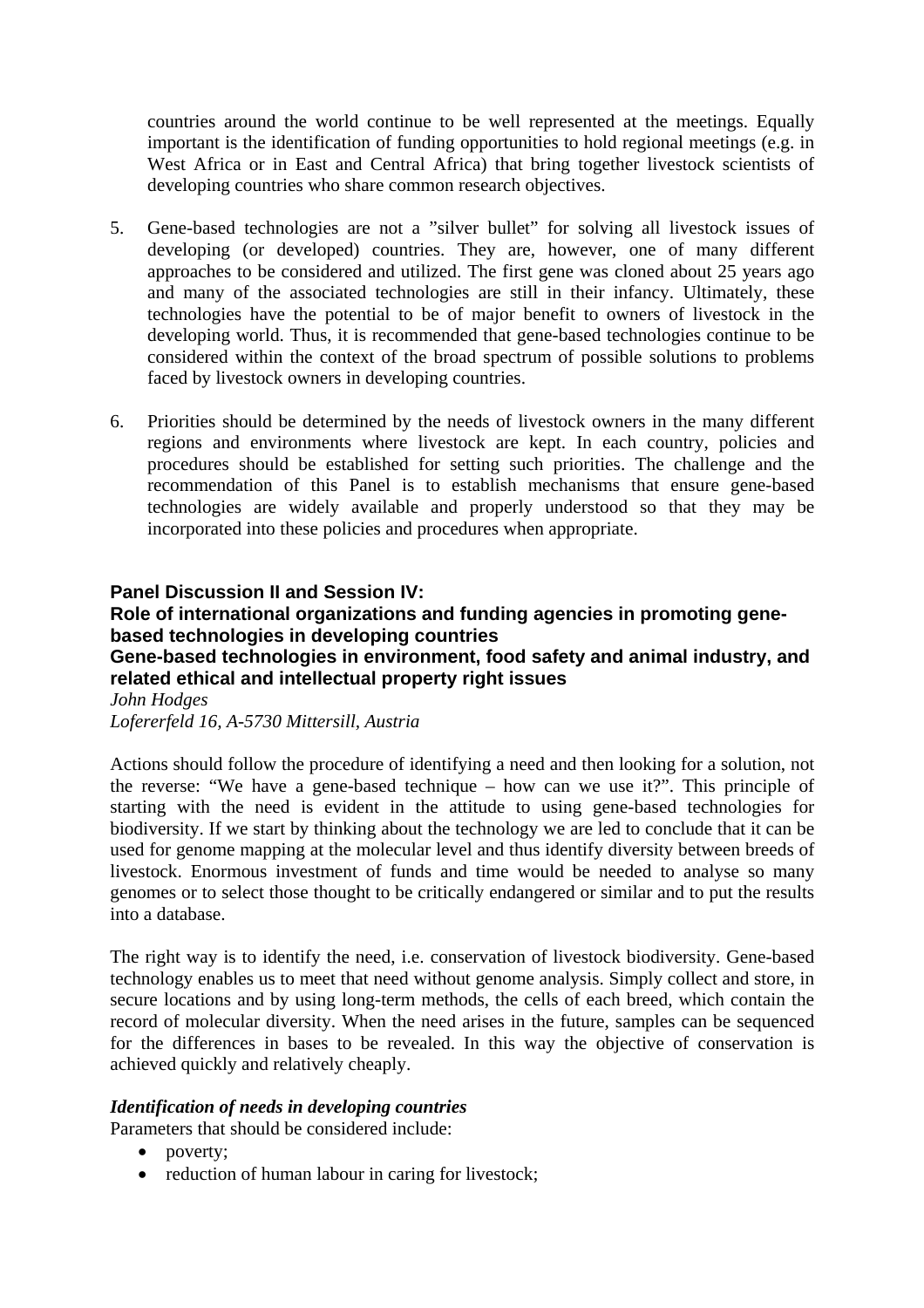countries around the world continue to be well represented at the meetings. Equally important is the identification of funding opportunities to hold regional meetings (e.g. in West Africa or in East and Central Africa) that bring together livestock scientists of developing countries who share common research objectives.

- 5. Gene-based technologies are not a "silver bullet" for solving all livestock issues of developing (or developed) countries. They are, however, one of many different approaches to be considered and utilized. The first gene was cloned about 25 years ago and many of the associated technologies are still in their infancy. Ultimately, these technologies have the potential to be of major benefit to owners of livestock in the developing world. Thus, it is recommended that gene-based technologies continue to be considered within the context of the broad spectrum of possible solutions to problems faced by livestock owners in developing countries.
- 6. Priorities should be determined by the needs of livestock owners in the many different regions and environments where livestock are kept. In each country, policies and procedures should be established for setting such priorities. The challenge and the recommendation of this Panel is to establish mechanisms that ensure gene-based technologies are widely available and properly understood so that they may be incorporated into these policies and procedures when appropriate.

### **Panel Discussion II and Session IV:**

### **Role of international organizations and funding agencies in promoting genebased technologies in developing countries Gene-based technologies in environment, food safety and animal industry, and related ethical and intellectual property right issues**

*John Hodges Lofererfeld 16, A-5730 Mittersill, Austria* 

Actions should follow the procedure of identifying a need and then looking for a solution, not the reverse: "We have a gene-based technique – how can we use it?". This principle of starting with the need is evident in the attitude to using gene-based technologies for biodiversity. If we start by thinking about the technology we are led to conclude that it can be used for genome mapping at the molecular level and thus identify diversity between breeds of livestock. Enormous investment of funds and time would be needed to analyse so many genomes or to select those thought to be critically endangered or similar and to put the results into a database.

The right way is to identify the need, i.e. conservation of livestock biodiversity. Gene-based technology enables us to meet that need without genome analysis. Simply collect and store, in secure locations and by using long-term methods, the cells of each breed, which contain the record of molecular diversity. When the need arises in the future, samples can be sequenced for the differences in bases to be revealed. In this way the objective of conservation is achieved quickly and relatively cheaply.

### *Identification of needs in developing countries*

Parameters that should be considered include:

- poverty;
- reduction of human labour in caring for livestock;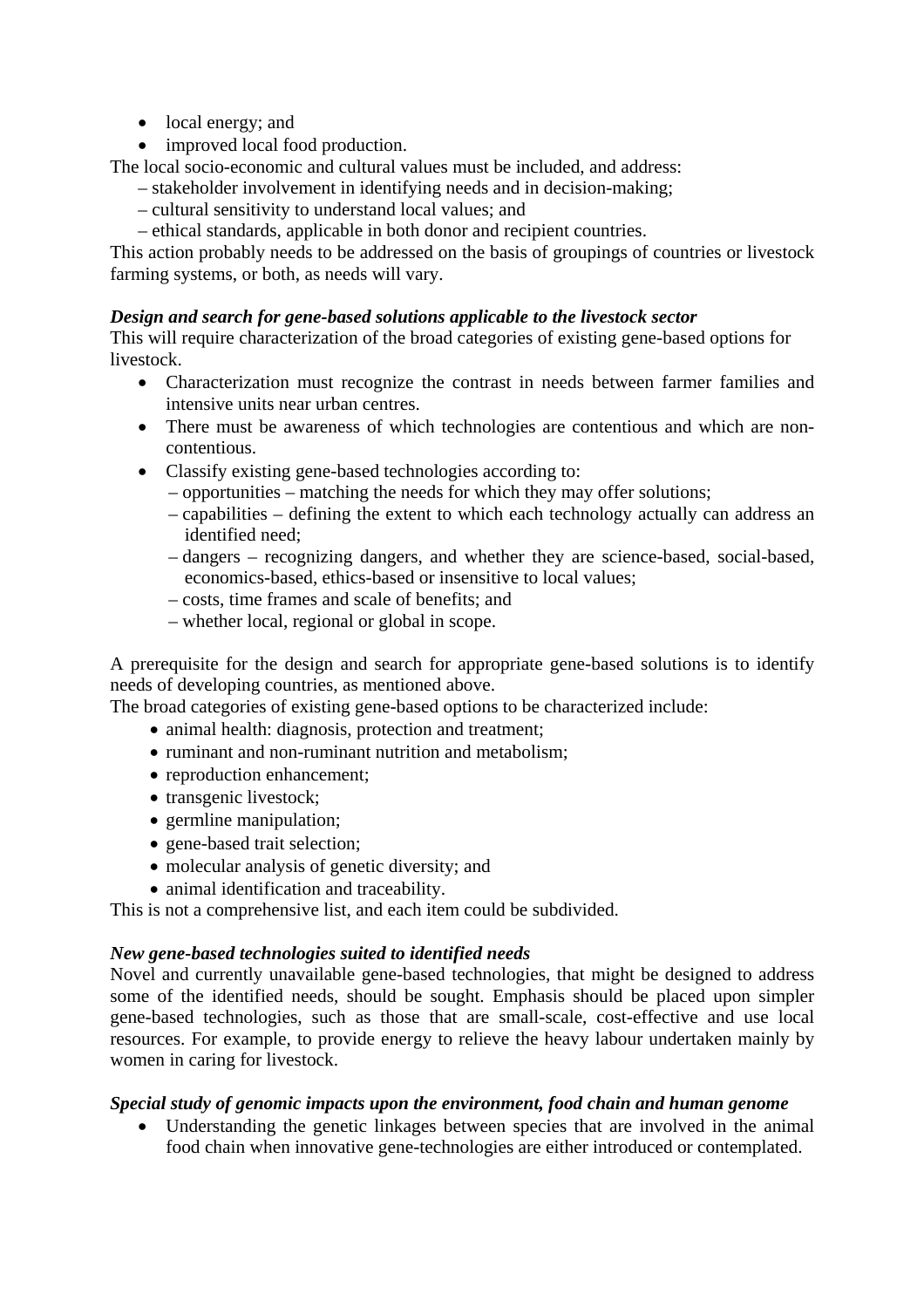- local energy; and
- improved local food production.

The local socio-economic and cultural values must be included, and address:

- stakeholder involvement in identifying needs and in decision-making;
- cultural sensitivity to understand local values; and
- ethical standards, applicable in both donor and recipient countries.

This action probably needs to be addressed on the basis of groupings of countries or livestock farming systems, or both, as needs will vary.

# *Design and search for gene-based solutions applicable to the livestock sector*

This will require characterization of the broad categories of existing gene-based options for livestock.

- Characterization must recognize the contrast in needs between farmer families and intensive units near urban centres.
- There must be awareness of which technologies are contentious and which are noncontentious.
- Classify existing gene-based technologies according to:
	- opportunities matching the needs for which they may offer solutions;
	- capabilities defining the extent to which each technology actually can address an identified need;
	- dangers recognizing dangers, and whether they are science-based, social-based, economics-based, ethics-based or insensitive to local values;
	- costs, time frames and scale of benefits; and
	- whether local, regional or global in scope.

A prerequisite for the design and search for appropriate gene-based solutions is to identify needs of developing countries, as mentioned above.

- The broad categories of existing gene-based options to be characterized include:
	- animal health: diagnosis, protection and treatment;
	- ruminant and non-ruminant nutrition and metabolism;
	- reproduction enhancement:
	- transgenic livestock;
	- germline manipulation;
	- gene-based trait selection;
	- molecular analysis of genetic diversity; and
	- animal identification and traceability.

This is not a comprehensive list, and each item could be subdivided.

### *New gene-based technologies suited to identified needs*

Novel and currently unavailable gene-based technologies, that might be designed to address some of the identified needs, should be sought. Emphasis should be placed upon simpler gene-based technologies, such as those that are small-scale, cost-effective and use local resources. For example, to provide energy to relieve the heavy labour undertaken mainly by women in caring for livestock.

# *Special study of genomic impacts upon the environment, food chain and human genome*

• Understanding the genetic linkages between species that are involved in the animal food chain when innovative gene-technologies are either introduced or contemplated.